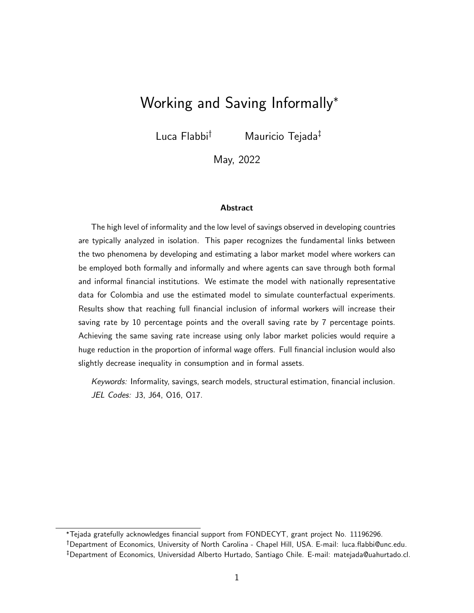# Working and Saving Informally<sup>∗</sup>

Luca Flabbi† Mauricio Tejada‡

May, 2022

#### Abstract

The high level of informality and the low level of savings observed in developing countries are typically analyzed in isolation. This paper recognizes the fundamental links between the two phenomena by developing and estimating a labor market model where workers can be employed both formally and informally and where agents can save through both formal and informal financial institutions. We estimate the model with nationally representative data for Colombia and use the estimated model to simulate counterfactual experiments. Results show that reaching full financial inclusion of informal workers will increase their saving rate by 10 percentage points and the overall saving rate by 7 percentage points. Achieving the same saving rate increase using only labor market policies would require a huge reduction in the proportion of informal wage offers. Full financial inclusion would also slightly decrease inequality in consumption and in formal assets.

Keywords: Informality, savings, search models, structural estimation, financial inclusion. JEL Codes: J3, J64, O16, O17.

<sup>∗</sup>Tejada gratefully acknowledges financial support from FONDECYT, grant project No. 11196296. †Department of Economics, University of North Carolina - Chapel Hill, USA. E-mail: luca.flabbi@unc.edu. ‡Department of Economics, Universidad Alberto Hurtado, Santiago Chile. E-mail: matejada@uahurtado.cl.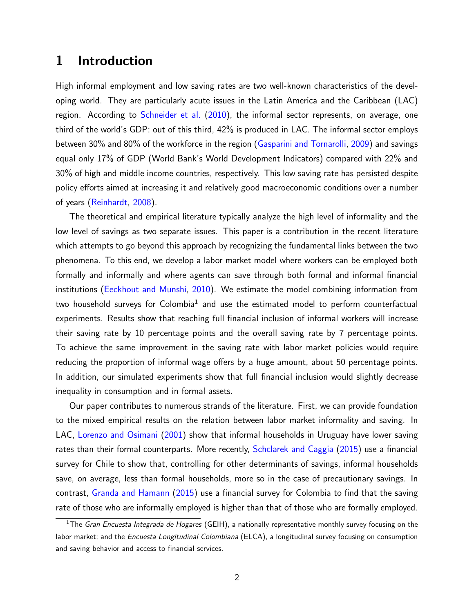## 1 Introduction

High informal employment and low saving rates are two well-known characteristics of the developing world. They are particularly acute issues in the Latin America and the Caribbean (LAC) region. According to [Schneider et al.](#page-24-0) [\(2010\)](#page-24-0), the informal sector represents, on average, one third of the world's GDP: out of this third, 42% is produced in LAC. The informal sector employs between 30% and 80% of the workforce in the region [\(Gasparini and Tornarolli,](#page-22-0) [2009\)](#page-22-0) and savings equal only 17% of GDP (World Bank's World Development Indicators) compared with 22% and 30% of high and middle income countries, respectively. This low saving rate has persisted despite policy efforts aimed at increasing it and relatively good macroeconomic conditions over a number of years [\(Reinhardt,](#page-24-1) [2008\)](#page-24-1).

The theoretical and empirical literature typically analyze the high level of informality and the low level of savings as two separate issues. This paper is a contribution in the recent literature which attempts to go beyond this approach by recognizing the fundamental links between the two phenomena. To this end, we develop a labor market model where workers can be employed both formally and informally and where agents can save through both formal and informal financial institutions [\(Eeckhout and Munshi,](#page-22-1) [2010\)](#page-22-1). We estimate the model combining information from two household surveys for Colombia $^1$  $^1$  and use the estimated model to perform counterfactual experiments. Results show that reaching full financial inclusion of informal workers will increase their saving rate by 10 percentage points and the overall saving rate by 7 percentage points. To achieve the same improvement in the saving rate with labor market policies would require reducing the proportion of informal wage offers by a huge amount, about 50 percentage points. In addition, our simulated experiments show that full financial inclusion would slightly decrease inequality in consumption and in formal assets.

Our paper contributes to numerous strands of the literature. First, we can provide foundation to the mixed empirical results on the relation between labor market informality and saving. In LAC, [Lorenzo and Osimani](#page-23-0) [\(2001\)](#page-23-0) show that informal households in Uruguay have lower saving rates than their formal counterparts. More recently, [Schclarek and Caggia](#page-24-2) [\(2015\)](#page-24-2) use a financial survey for Chile to show that, controlling for other determinants of savings, informal households save, on average, less than formal households, more so in the case of precautionary savings. In contrast, [Granda and Hamann](#page-23-1) [\(2015\)](#page-23-1) use a financial survey for Colombia to find that the saving rate of those who are informally employed is higher than that of those who are formally employed.

<span id="page-1-0"></span><sup>&</sup>lt;sup>1</sup>The Gran Encuesta Integrada de Hogares (GEIH), a nationally representative monthly survey focusing on the labor market; and the Encuesta Longitudinal Colombiana (ELCA), a longitudinal survey focusing on consumption and saving behavior and access to financial services.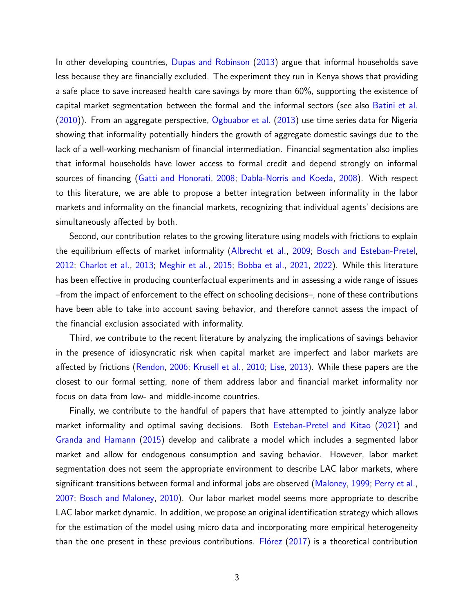In other developing countries, [Dupas and Robinson](#page-22-2) [\(2013\)](#page-22-2) argue that informal households save less because they are financially excluded. The experiment they run in Kenya shows that providing a safe place to save increased health care savings by more than 60%, supporting the existence of capital market segmentation between the formal and the informal sectors (see also [Batini et al.](#page-21-0) [\(2010\)](#page-21-0)). From an aggregate perspective, [Ogbuabor et al.](#page-24-3) [\(2013\)](#page-24-3) use time series data for Nigeria showing that informality potentially hinders the growth of aggregate domestic savings due to the lack of a well-working mechanism of financial intermediation. Financial segmentation also implies that informal households have lower access to formal credit and depend strongly on informal sources of financing [\(Gatti and Honorati,](#page-22-3) [2008;](#page-22-3) [Dabla-Norris and Koeda,](#page-22-4) [2008\)](#page-22-4). With respect to this literature, we are able to propose a better integration between informality in the labor markets and informality on the financial markets, recognizing that individual agents' decisions are simultaneously affected by both.

Second, our contribution relates to the growing literature using models with frictions to explain the equilibrium effects of market informality [\(Albrecht et al.,](#page-21-1) [2009;](#page-21-1) [Bosch and Esteban-Pretel,](#page-21-2) [2012;](#page-21-2) [Charlot et al.,](#page-22-5) [2013;](#page-22-5) [Meghir et al.,](#page-23-2) [2015;](#page-23-2) [Bobba et al.,](#page-21-3) [2021,](#page-21-3) [2022\)](#page-21-4). While this literature has been effective in producing counterfactual experiments and in assessing a wide range of issues –from the impact of enforcement to the effect on schooling decisions–, none of these contributions have been able to take into account saving behavior, and therefore cannot assess the impact of the financial exclusion associated with informality.

Third, we contribute to the recent literature by analyzing the implications of savings behavior in the presence of idiosyncratic risk when capital market are imperfect and labor markets are affected by frictions [\(Rendon,](#page-24-4) [2006;](#page-24-4) [Krusell et al.,](#page-23-3) [2010;](#page-23-3) [Lise,](#page-23-4) [2013\)](#page-23-4). While these papers are the closest to our formal setting, none of them address labor and financial market informality nor focus on data from low- and middle-income countries.

Finally, we contribute to the handful of papers that have attempted to jointly analyze labor market informality and optimal saving decisions. Both [Esteban-Pretel and Kitao](#page-22-6) [\(2021\)](#page-22-6) and [Granda and Hamann](#page-23-1) [\(2015\)](#page-23-1) develop and calibrate a model which includes a segmented labor market and allow for endogenous consumption and saving behavior. However, labor market segmentation does not seem the appropriate environment to describe LAC labor markets, where significant transitions between formal and informal jobs are observed [\(Maloney,](#page-23-5) [1999;](#page-23-5) [Perry et al.,](#page-24-5) [2007;](#page-24-5) [Bosch and Maloney,](#page-22-7) [2010\)](#page-22-7). Our labor market model seems more appropriate to describe LAC labor market dynamic. In addition, we propose an original identification strategy which allows for the estimation of the model using micro data and incorporating more empirical heterogeneity than the one present in these previous contributions. Florez  $(2017)$  is a theoretical contribution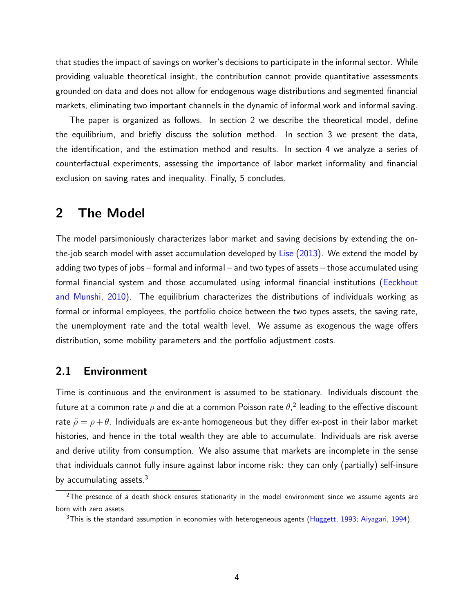that studies the impact of savings on worker's decisions to participate in the informal sector. While providing valuable theoretical insight, the contribution cannot provide quantitative assessments grounded on data and does not allow for endogenous wage distributions and segmented financial markets, eliminating two important channels in the dynamic of informal work and informal saving.

The paper is organized as follows. In section [2](#page-3-0) we describe the theoretical model, define the equilibrium, and briefly discuss the solution method. In section [3](#page-9-0) we present the data, the identification, and the estimation method and results. In section [4](#page-17-0) we analyze a series of counterfactual experiments, assessing the importance of labor market informality and financial exclusion on saving rates and inequality. Finally, [5](#page-19-0) concludes.

### <span id="page-3-0"></span>2 The Model

The model parsimoniously characterizes labor market and saving decisions by extending the onthe-job search model with asset accumulation developed by [Lise](#page-23-4) [\(2013\)](#page-23-4). We extend the model by adding two types of jobs – formal and informal – and two types of assets – those accumulated using formal financial system and those accumulated using informal financial institutions [\(Eeckhout](#page-22-1) [and Munshi,](#page-22-1) [2010\)](#page-22-1). The equilibrium characterizes the distributions of individuals working as formal or informal employees, the portfolio choice between the two types assets, the saving rate, the unemployment rate and the total wealth level. We assume as exogenous the wage offers distribution, some mobility parameters and the portfolio adjustment costs.

### 2.1 Environment

Time is continuous and the environment is assumed to be stationary. Individuals discount the future at a common rate  $\rho$  and die at a common Poisson rate  $\theta,^2$  $\theta,^2$  leading to the effective discount rate  $\tilde{\rho} = \rho + \theta$ . Individuals are ex-ante homogeneous but they differ ex-post in their labor market histories, and hence in the total wealth they are able to accumulate. Individuals are risk averse and derive utility from consumption. We also assume that markets are incomplete in the sense that individuals cannot fully insure against labor income risk: they can only (partially) self-insure by accumulating assets. $3$ 

<span id="page-3-1"></span> $2$ The presence of a death shock ensures stationarity in the model environment since we assume agents are born with zero assets.

<span id="page-3-2"></span> $3$ This is the standard assumption in economies with heterogeneous agents [\(Huggett,](#page-23-6) [1993;](#page-23-6) [Aiyagari,](#page-21-5) [1994\)](#page-21-5).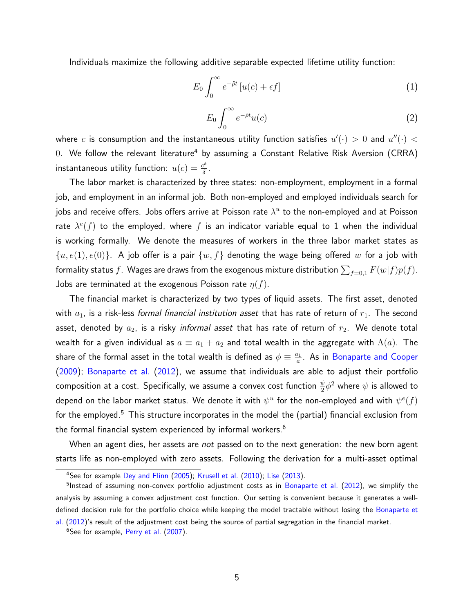Individuals maximize the following additive separable expected lifetime utility function:

$$
E_0 \int_0^\infty e^{-\tilde{\rho}t} \left[ u(c) + \epsilon f \right] \tag{1}
$$

<span id="page-4-3"></span>
$$
E_0 \int_0^\infty e^{-\tilde{\rho} t} u(c) \tag{2}
$$

where  $c$  is consumption and the instantaneous utility function satisfies  $u'(\cdot) > 0$  and  $u''(\cdot) < 0$ 0. We follow the relevant literature<sup>[4](#page-4-0)</sup> by assuming a Constant Relative Risk Aversion (CRRA) instantaneous utility function:  $u(c) = \frac{c^{\delta}}{\delta}$  $\frac{2^b}{\delta}$ .

The labor market is characterized by three states: non-employment, employment in a formal job, and employment in an informal job. Both non-employed and employed individuals search for jobs and receive offers. Jobs offers arrive at Poisson rate  $\lambda^u$  to the non-employed and at Poisson rate  $\lambda^{e}(f)$  to the employed, where  $f$  is an indicator variable equal to 1 when the individual is working formally. We denote the measures of workers in the three labor market states as  $\{u, e(1), e(0)\}$ . A job offer is a pair  $\{w, f\}$  denoting the wage being offered  $w$  for a job with formality status  $f.$  Wages are draws from the exogenous mixture distribution  $\sum_{f=0,1} F(w|f)p(f).$ Jobs are terminated at the exogenous Poisson rate  $\eta(f)$ .

The financial market is characterized by two types of liquid assets. The first asset, denoted with  $a_1$ , is a risk-less formal financial institution asset that has rate of return of  $r_1$ . The second asset, denoted by  $a_2$ , is a risky informal asset that has rate of return of  $r_2$ . We denote total wealth for a given individual as  $a \equiv a_1 + a_2$  and total wealth in the aggregate with  $\Lambda(a)$ . The share of the formal asset in the total wealth is defined as  $\phi \equiv \frac{a_1}{a_1}$  $\frac{a_1}{a}$ . As in [Bonaparte and Cooper](#page-21-6) [\(2009\)](#page-21-6); [Bonaparte et al.](#page-21-7) [\(2012\)](#page-21-7), we assume that individuals are able to adjust their portfolio composition at a cost. Specifically, we assume a convex cost function  $\frac{\psi}{2}\phi^2$  where  $\psi$  is allowed to depend on the labor market status. We denote it with  $\psi^u$  for the non-employed and with  $\psi^e(f)$ for the employed.<sup>[5](#page-4-1)</sup> This structure incorporates in the model the (partial) financial exclusion from the formal financial system experienced by informal workers.<sup>[6](#page-4-2)</sup>

When an agent dies, her assets are *not* passed on to the next generation: the new born agent starts life as non-employed with zero assets. Following the derivation for a multi-asset optimal

<span id="page-4-1"></span><span id="page-4-0"></span><sup>&</sup>lt;sup>4</sup>See for example [Dey and Flinn](#page-22-9) [\(2005\)](#page-22-9); [Krusell et al.](#page-23-3) [\(2010\)](#page-23-3); [Lise](#page-23-4) [\(2013\)](#page-23-4).

<sup>&</sup>lt;sup>5</sup>Instead of assuming non-convex portfolio adjustment costs as in [Bonaparte et al.](#page-21-7) [\(2012\)](#page-21-7), we simplify the analysis by assuming a convex adjustment cost function. Our setting is convenient because it generates a welldefined decision rule for the portfolio choice while keeping the model tractable without losing the [Bonaparte et](#page-21-7) [al.](#page-21-7) [\(2012\)](#page-21-7)'s result of the adjustment cost being the source of partial segregation in the financial market.

<span id="page-4-2"></span><sup>&</sup>lt;sup>6</sup>See for example, [Perry et al.](#page-24-5) [\(2007\)](#page-24-5).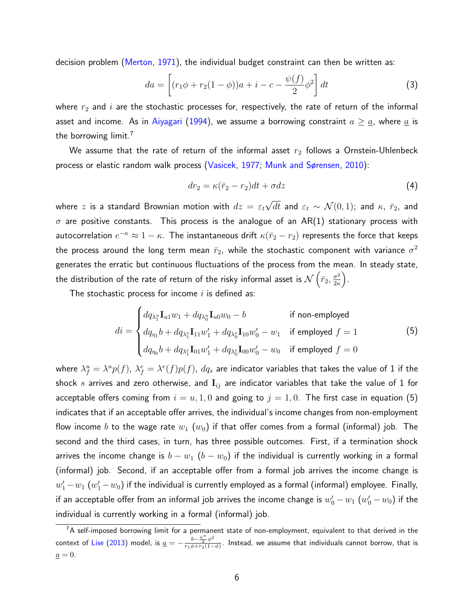decision problem [\(Merton,](#page-23-7) [1971\)](#page-23-7), the individual budget constraint can then be written as:

<span id="page-5-2"></span>
$$
da = \left[ (r_1 \phi + r_2 (1 - \phi))a + i - c - \frac{\psi(f)}{2} \phi^2 \right] dt
$$
 (3)

where  $r_2$  and  $i$  are the stochastic processes for, respectively, the rate of return of the informal asset and income. As in [Aiyagari](#page-21-5) [\(1994\)](#page-21-5), we assume a borrowing constraint  $a \geq a$ , where  $\underline{a}$  is the borrowing limit.<sup>[7](#page-5-0)</sup>

We assume that the rate of return of the informal asset  $r_2$  follows a Ornstein-Uhlenbeck process or elastic random walk process [\(Vasicek,](#page-24-6) [1977;](#page-24-6) [Munk and Sørensen,](#page-23-8) [2010\)](#page-23-8):

<span id="page-5-3"></span>
$$
dr_2 = \kappa(\bar{r}_2 - r_2)dt + \sigma dz \tag{4}
$$

where  $z$  is a standard Brownian motion with  $dz\,=\,\varepsilon_t$ √  $dt$  and  $\varepsilon_t \sim \mathcal{N}(0,1)$ ; and  $\kappa$ ,  $\bar{r}_2$ , and  $\sigma$  are positive constants. This process is the analogue of an AR(1) stationary process with autocorrelation  $e^{-\kappa}\approx 1-\kappa.$  The instantaneous drift  $\kappa(\bar{r}_2-r_2)$  represents the force that keeps the process around the long term mean  $\bar{r}_2$ , while the stochastic component with variance  $\sigma^2$ generates the erratic but continuous fluctuations of the process from the mean. In steady state, the distribution of the rate of return of the risky informal asset is  $\mathcal{N}\left(\bar{r}_2,\frac{\sigma^2}{2\kappa}\right)$  $\frac{\sigma^2}{2\kappa}\bigg).$ 

The stochastic process for income  $i$  is defined as:

<span id="page-5-1"></span>
$$
di = \begin{cases} dq_{\lambda_1^u} \mathbf{I}_{u1} w_1 + dq_{\lambda_0^u} \mathbf{I}_{u0} w_0 - b & \text{if non-employed} \\ dq_{\eta_1} b + dq_{\lambda_1^e} \mathbf{I}_{11} w_1' + dq_{\lambda_0^e} \mathbf{I}_{10} w_0' - w_1 & \text{if employed } f = 1 \\ dq_{\eta_0} b + dq_{\lambda_1^e} \mathbf{I}_{01} w_1' + dq_{\lambda_0^e} \mathbf{I}_{00} w_0' - w_0 & \text{if employed } f = 0 \end{cases}
$$
(5)

where  $\lambda^u_f=\lambda^u p(f)$ ,  $\lambda^e_f=\lambda^e(f)p(f)$ ,  $dq_s$  are indicator variables that takes the value of  $1$  if the shock s arrives and zero otherwise, and  $\mathbf{I}_{ij}$  are indicator variables that take the value of 1 for acceptable offers coming from  $i = u, 1, 0$  and going to  $j = 1, 0$ . The first case in equation [\(5\)](#page-5-1) indicates that if an acceptable offer arrives, the individual's income changes from non-employment flow income b to the wage rate  $w_1(w_0)$  if that offer comes from a formal (informal) job. The second and the third cases, in turn, has three possible outcomes. First, if a termination shock arrives the income change is  $b - w_1$   $(b - w_0)$  if the individual is currently working in a formal (informal) job. Second, if an acceptable offer from a formal job arrives the income change is  $w_1^\prime - w_1 \; (w_1^\prime - w_0)$  if the individual is currently employed as a formal (informal) employee. Finally, if an acceptable offer from an informal job arrives the income change is  $w_0^\prime - w_1$   $(w_0^\prime - w_0)$  if the individual is currently working in a formal (informal) job.

<span id="page-5-0"></span> $^7$ A self-imposed borrowing limit for a permanent state of non-employment, equivalent to that derived in the context of [Lise](#page-23-4) [\(2013\)](#page-23-4) model, is  $\underline{a} = -\frac{b - \frac{\psi^u}{2} \phi^2}{r_1 \phi + r_2 (1 - \psi^u)}$  $\frac{\theta-\frac{-\alpha}{2}\phi}{r_1\phi+r_2(1-\phi)}$ . Instead, we assume that individuals cannot borrow, that is  $\underline{a} = 0.$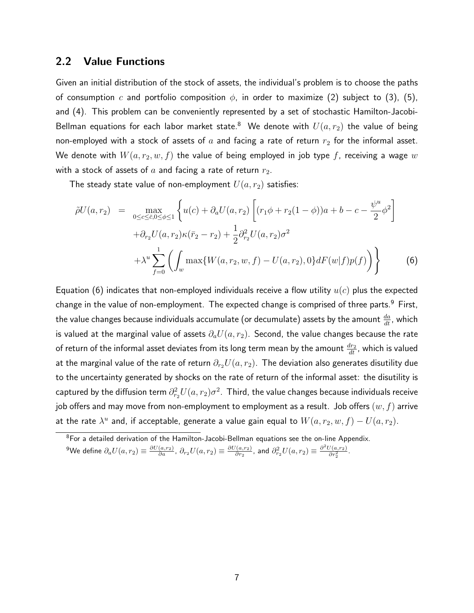#### 2.2 Value Functions

Given an initial distribution of the stock of assets, the individual's problem is to choose the paths of consumption c and portfolio composition  $\phi$ , in order to maximize [\(2\)](#page-4-3) subject to [\(3\)](#page-5-2), [\(5\)](#page-5-1), and [\(4\)](#page-5-3). This problem can be conveniently represented by a set of stochastic Hamilton-Jacobi-Bellman equations for each labor market state.<sup>[8](#page-6-0)</sup> We denote with  $U(a, r_2)$  the value of being non-employed with a stock of assets of  $a$  and facing a rate of return  $r_2$  for the informal asset. We denote with  $W(a, r_2, w, f)$  the value of being employed in job type f, receiving a wage w with a stock of assets of  $a$  and facing a rate of return  $r_2$ .

The steady state value of non-employment  $U(a, r_2)$  satisfies:

<span id="page-6-1"></span>
$$
\tilde{\rho}U(a,r_2) = \max_{0 \le c \le \bar{c}, 0 \le \phi \le 1} \left\{ u(c) + \partial_a U(a,r_2) \left[ (r_1 \phi + r_2(1-\phi))a + b - c - \frac{\psi^u}{2} \phi^2 \right] \right. \\ \left. + \partial_{r_2} U(a,r_2) \kappa(\bar{r}_2 - r_2) + \frac{1}{2} \partial_{r_2}^2 U(a,r_2) \sigma^2 \right. \\ \left. + \lambda^u \sum_{f=0}^1 \left( \int_w \max\{W(a,r_2,w,f) - U(a,r_2), 0\} dF(w|f) p(f) \right) \right\} \tag{6}
$$

Equation [\(6\)](#page-6-1) indicates that non-employed individuals receive a flow utility  $u(c)$  plus the expected change in the value of non-employment. The expected change is comprised of three parts.<sup>[9](#page-6-2)</sup> First, the value changes because individuals accumulate (or decumulate) assets by the amount  $\frac{da}{dt}$ , which is valued at the marginal value of assets  $\partial_a U(a, r_2)$ . Second, the value changes because the rate of return of the informal asset deviates from its long term mean by the amount  $\frac{dr_2}{dt}$ , which is valued at the marginal value of the rate of return  $\partial_{r_2}U(a, r_2)$ . The deviation also generates disutility due to the uncertainty generated by shocks on the rate of return of the informal asset: the disutility is captured by the diffusion term  $\partial^2_{r_2} U(a,r_2) \sigma^2.$   $\,$  Third, the value changes because individuals receive job offers and may move from non-employment to employment as a result. Job offers  $(w, f)$  arrive at the rate  $\lambda^u$  and, if acceptable, generate a value gain equal to  $W(a,r_2,w,f)-U(a,r_2).$ 

<span id="page-6-0"></span><sup>&</sup>lt;sup>8</sup>For a detailed derivation of the Hamilton-Jacobi-Bellman equations see the on-line Appendix.

<span id="page-6-2"></span> $^9$ We define  $\partial_a U(a,r_2) \equiv \frac{\partial U(a,r_2)}{\partial a}$ ,  $\partial_{r_2} U(a,r_2) \equiv \frac{\partial U(a,r_2)}{\partial r_2}$  $\frac{d(a,r_2)}{dr_2}$ , and  $\partial_{r_2}^2 U(a,r_2) \equiv \frac{\partial^2 U(a,r_2)}{\partial r_2^2}$ .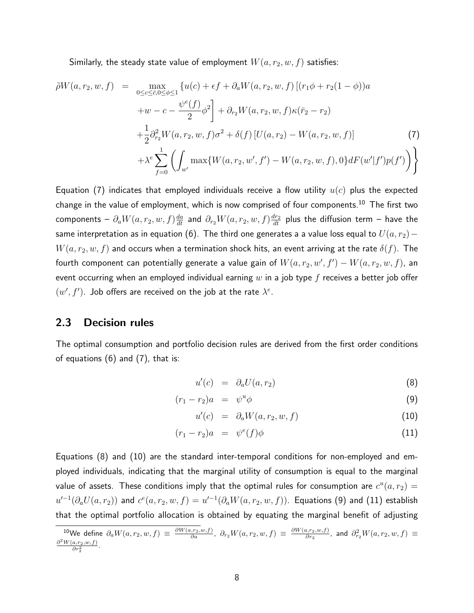Similarly, the steady state value of employment  $W(a,r_2,w,f)$  satisfies:

<span id="page-7-0"></span>
$$
\tilde{\rho}W(a,r_2,w,f) = \max_{0 \le c \le \bar{c},0 \le \phi \le 1} \{ u(c) + \epsilon f + \partial_a W(a,r_2,w,f) \left[ (r_1 \phi + r_2(1-\phi))a + w - c - \frac{\psi^e(f)}{2} \phi^2 \right] + \partial_{r_2} W(a,r_2,w,f) \kappa(\bar{r}_2 - r_2) \n+ \frac{1}{2} \partial_{r_2}^2 W(a,r_2,w,f) \sigma^2 + \delta(f) \left[ U(a,r_2) - W(a,r_2,w,f) \right] \tag{7} \n+ \lambda^e \sum_{f=0}^1 \left( \int_{w'} \max \{ W(a,r_2,w',f') - W(a,r_2,w,f), 0 \} dF(w'|f') p(f') \right) \}
$$

Equation [\(7\)](#page-7-0) indicates that employed individuals receive a flow utility  $u(c)$  plus the expected change in the value of employment, which is now comprised of four components.<sup>[10](#page-7-1)</sup> The first two components –  $\partial_a W(a,r_2,w,f)\frac{da}{dt}$  and  $\partial_{r_2}W(a,r_2,w,f)\frac{dr_2}{dt}$  plus the diffusion term – have the same interpretation as in equation [\(6\)](#page-6-1). The third one generates a a value loss equal to  $U(a, r_2)$  –  $W(a, r_2, w, f)$  and occurs when a termination shock hits, an event arriving at the rate  $\delta(f)$ . The fourth component can potentially generate a value gain of  $W(a,r_2,w^{\prime},f^{\prime})-W(a,r_2,w,f)$ , an event occurring when an employed individual earning  $w$  in a job type  $f$  receives a better job offer  $(w', f')$ . Job offers are received on the job at the rate  $\lambda^e$ .

#### 2.3 Decision rules

The optimal consumption and portfolio decision rules are derived from the first order conditions of equations [\(6\)](#page-6-1) and [\(7\)](#page-7-0), that is:

<span id="page-7-2"></span>
$$
u'(c) = \partial_a U(a, r_2) \tag{8}
$$

$$
(r_1 - r_2)a = \psi^u \phi \tag{9}
$$

$$
u'(c) = \partial_a W(a, r_2, w, f) \tag{10}
$$

$$
(r_1 - r_2)a = \psi^e(f)\phi \tag{11}
$$

Equations [\(8\)](#page-7-2) and [\(10\)](#page-7-2) are the standard inter-temporal conditions for non-employed and employed individuals, indicating that the marginal utility of consumption is equal to the marginal value of assets. These conditions imply that the optimal rules for consumption are  $c^u(a,r_2) = \frac{1}{2\pi\epsilon}$  $u'^{-1}(\partial_aU(a,r_2))$  and  $c^e(a,r_2,w,f)=u'^{-1}(\partial_aW(a,r_2,w,f)).$  Equations [\(9\)](#page-7-2) and [\(11\)](#page-7-2) establish that the optimal portfolio allocation is obtained by equating the marginal benefit of adjusting

<span id="page-7-1"></span> $^{10}{\sf{We}}$  define  $\partial_a W(a,r_2,w,f)\ \equiv\ \frac{\partial W(a,r_2,w,f)}{\partial a}$ ,  $\partial_{r_2} W(a,r_2,w,f)\ \equiv\ \frac{\partial W(a,r_2,w,f)}{\partial r_2}$  $\frac{\partial a_i, r_2, w, f)}{\partial r_2}$ , and  $\partial_{r_2}^2 W(a, r_2, w, f) \equiv$  $\frac{\partial^2 W(a,r_2,w,f)}{\partial r_2^2}$ .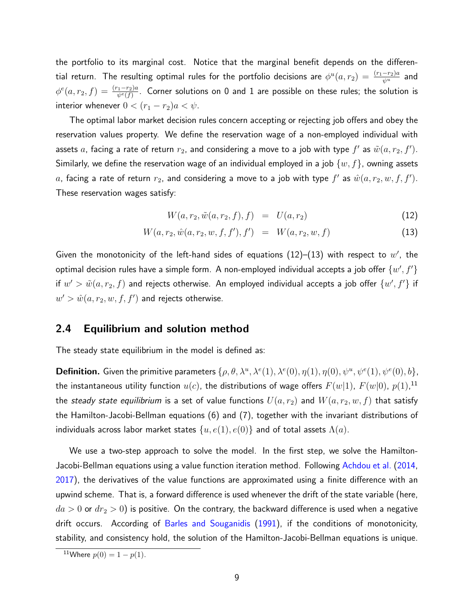the portfolio to its marginal cost. Notice that the marginal benefit depends on the differential return. The resulting optimal rules for the portfolio decisions are  $\phi^u(a,r_2)=\frac{(r_1-r_2)a}{\psi^u}$  and  $\phi^e(a,r_2,f)=\frac{(r_1-r_2)a}{\psi^e(f)}.$  Corner solutions on 0 and 1 are possible on these rules; the solution is interior whenever  $0 < (r_1 - r_2)a < \psi$ .

The optimal labor market decision rules concern accepting or rejecting job offers and obey the reservation values property. We define the reservation wage of a non-employed individual with assets  $a$ , facing a rate of return  $r_2$ , and considering a move to a job with type  $f'$  as  $\tilde{w}(a,r_2,f').$ Similarly, we define the reservation wage of an individual employed in a job  $\{w, f\}$ , owning assets  $a$ , facing a rate of return  $r_2$ , and considering a move to a job with type  $f'$  as  $\hat{w}(a,r_2,w,f,f').$ These reservation wages satisfy:

<span id="page-8-0"></span>
$$
W(a, r_2, \tilde{w}(a, r_2, f), f) = U(a, r_2)
$$
\n(12)

$$
W(a, r_2, \hat{w}(a, r_2, w, f, f'), f') = W(a, r_2, w, f)
$$
\n(13)

Given the monotonicity of the left-hand sides of equations [\(12\)](#page-8-0)–[\(13\)](#page-8-0) with respect to  $w'$ , the optimal decision rules have a simple form. A non-employed individual accepts a job offer  $\{w', f'\}$ if  $w'>\tilde{w}(a,r_2,f)$  and rejects otherwise. An employed individual accepts a job offer  $\{w',f'\}$  if  $w' > \hat{w}(a, r_2, w, f, f')$  and rejects otherwise.

#### 2.4 Equilibrium and solution method

The steady state equilibrium in the model is defined as:

**Definition.** Given the primitive parameters  $\{\rho, \theta, \lambda^u, \lambda^e(1), \lambda^e(0), \eta(1), \eta(0), \psi^u, \psi^e(1), \psi^e(0), b\}$ the instantaneous utility function  $u(c)$ , the distributions of wage offers  $F(w|1)$ ,  $F(w|0)$ ,  $p(1),^{\mathbf{11}}$  $p(1),^{\mathbf{11}}$  $p(1),^{\mathbf{11}}$ the steady state equilibrium is a set of value functions  $U(a, r_2)$  and  $W(a, r_2, w, f)$  that satisfy the Hamilton-Jacobi-Bellman equations [\(6\)](#page-6-1) and [\(7\)](#page-7-0), together with the invariant distributions of individuals across labor market states  $\{u, e(1), e(0)\}$  and of total assets  $\Lambda(a)$ .

We use a two-step approach to solve the model. In the first step, we solve the Hamilton-Jacobi-Bellman equations using a value function iteration method. Following [Achdou et al.](#page-21-8) [\(2014,](#page-21-8) [2017\)](#page-21-9), the derivatives of the value functions are approximated using a finite difference with an upwind scheme. That is, a forward difference is used whenever the drift of the state variable (here,  $da > 0$  or  $dr_2 > 0$ ) is positive. On the contrary, the backward difference is used when a negative drift occurs. According of [Barles and Souganidis](#page-21-10) [\(1991\)](#page-21-10), if the conditions of monotonicity, stability, and consistency hold, the solution of the Hamilton-Jacobi-Bellman equations is unique.

<span id="page-8-1"></span><sup>&</sup>lt;sup>11</sup>Where  $p(0) = 1 - p(1)$ .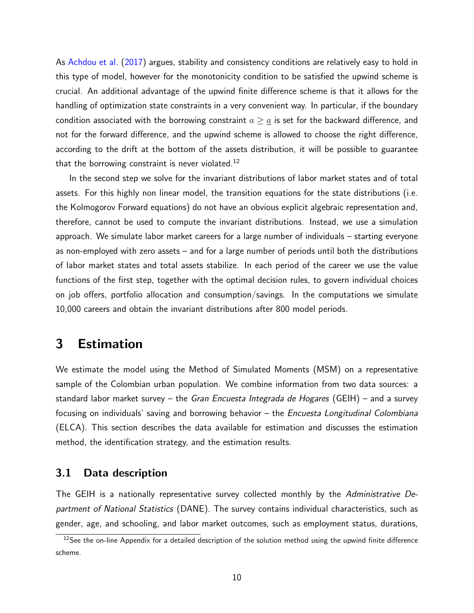As [Achdou et al.](#page-21-9) [\(2017\)](#page-21-9) argues, stability and consistency conditions are relatively easy to hold in this type of model, however for the monotonicity condition to be satisfied the upwind scheme is crucial. An additional advantage of the upwind finite difference scheme is that it allows for the handling of optimization state constraints in a very convenient way. In particular, if the boundary condition associated with the borrowing constraint  $a \geq \underline{a}$  is set for the backward difference, and not for the forward difference, and the upwind scheme is allowed to choose the right difference, according to the drift at the bottom of the assets distribution, it will be possible to guarantee that the borrowing constraint is never violated.<sup>[12](#page-9-1)</sup>

In the second step we solve for the invariant distributions of labor market states and of total assets. For this highly non linear model, the transition equations for the state distributions (i.e. the Kolmogorov Forward equations) do not have an obvious explicit algebraic representation and, therefore, cannot be used to compute the invariant distributions. Instead, we use a simulation approach. We simulate labor market careers for a large number of individuals – starting everyone as non-employed with zero assets – and for a large number of periods until both the distributions of labor market states and total assets stabilize. In each period of the career we use the value functions of the first step, together with the optimal decision rules, to govern individual choices on job offers, portfolio allocation and consumption/savings. In the computations we simulate 10,000 careers and obtain the invariant distributions after 800 model periods.

### <span id="page-9-0"></span>3 Estimation

We estimate the model using the Method of Simulated Moments (MSM) on a representative sample of the Colombian urban population. We combine information from two data sources: a standard labor market survey – the *Gran Encuesta Integrada de Hogares* (GEIH) – and a survey focusing on individuals' saving and borrowing behavior – the Encuesta Longitudinal Colombiana (ELCA). This section describes the data available for estimation and discusses the estimation method, the identification strategy, and the estimation results.

#### 3.1 Data description

The GEIH is a nationally representative survey collected monthly by the Administrative Department of National Statistics (DANE). The survey contains individual characteristics, such as gender, age, and schooling, and labor market outcomes, such as employment status, durations,

<span id="page-9-1"></span> $12$ See the on-line Appendix for a detailed description of the solution method using the upwind finite difference scheme.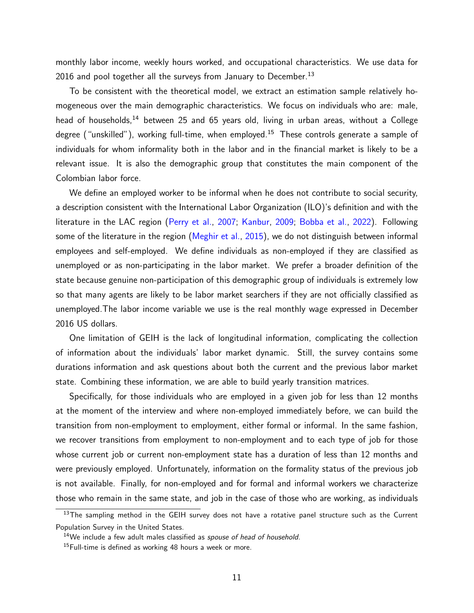monthly labor income, weekly hours worked, and occupational characteristics. We use data for 2016 and pool together all the surveys from January to December.<sup>[13](#page-10-0)</sup>

To be consistent with the theoretical model, we extract an estimation sample relatively homogeneous over the main demographic characteristics. We focus on individuals who are: male, head of households,<sup>[14](#page-10-1)</sup> between 25 and 65 years old, living in urban areas, without a College degree ("unskilled"), working full-time, when employed.<sup>[15](#page-10-2)</sup> These controls generate a sample of individuals for whom informality both in the labor and in the financial market is likely to be a relevant issue. It is also the demographic group that constitutes the main component of the Colombian labor force.

We define an employed worker to be informal when he does not contribute to social security, a description consistent with the International Labor Organization (ILO)'s definition and with the literature in the LAC region [\(Perry et al.,](#page-24-5) [2007;](#page-24-5) [Kanbur,](#page-23-9) [2009;](#page-23-9) [Bobba et al.,](#page-21-4) [2022\)](#page-21-4). Following some of the literature in the region [\(Meghir et al.,](#page-23-2) [2015\)](#page-23-2), we do not distinguish between informal employees and self-employed. We define individuals as non-employed if they are classified as unemployed or as non-participating in the labor market. We prefer a broader definition of the state because genuine non-participation of this demographic group of individuals is extremely low so that many agents are likely to be labor market searchers if they are not officially classified as unemployed.The labor income variable we use is the real monthly wage expressed in December 2016 US dollars.

One limitation of GEIH is the lack of longitudinal information, complicating the collection of information about the individuals' labor market dynamic. Still, the survey contains some durations information and ask questions about both the current and the previous labor market state. Combining these information, we are able to build yearly transition matrices.

Specifically, for those individuals who are employed in a given job for less than 12 months at the moment of the interview and where non-employed immediately before, we can build the transition from non-employment to employment, either formal or informal. In the same fashion, we recover transitions from employment to non-employment and to each type of job for those whose current job or current non-employment state has a duration of less than 12 months and were previously employed. Unfortunately, information on the formality status of the previous job is not available. Finally, for non-employed and for formal and informal workers we characterize those who remain in the same state, and job in the case of those who are working, as individuals

<span id="page-10-0"></span><sup>&</sup>lt;sup>13</sup>The sampling method in the GEIH survey does not have a rotative panel structure such as the Current Population Survey in the United States.

<span id="page-10-2"></span><span id="page-10-1"></span><sup>&</sup>lt;sup>14</sup>We include a few adult males classified as spouse of head of household.

 $15$ Full-time is defined as working 48 hours a week or more.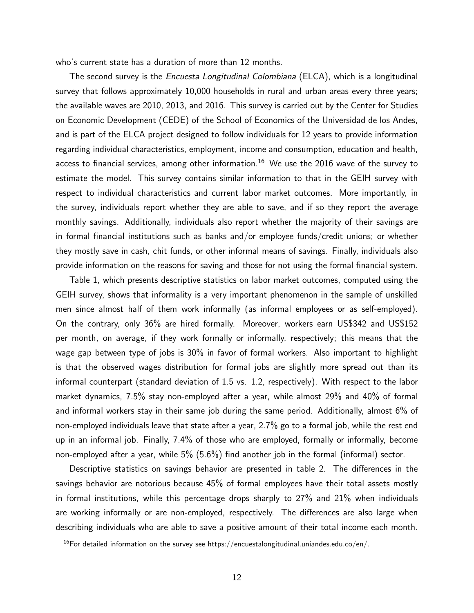who's current state has a duration of more than 12 months.

The second survey is the *Encuesta Longitudinal Colombiana* (ELCA), which is a longitudinal survey that follows approximately 10,000 households in rural and urban areas every three years; the available waves are 2010, 2013, and 2016. This survey is carried out by the Center for Studies on Economic Development (CEDE) of the School of Economics of the Universidad de los Andes, and is part of the ELCA project designed to follow individuals for 12 years to provide information regarding individual characteristics, employment, income and consumption, education and health, access to financial services, among other information.<sup>[16](#page-11-0)</sup> We use the 2016 wave of the survey to estimate the model. This survey contains similar information to that in the GEIH survey with respect to individual characteristics and current labor market outcomes. More importantly, in the survey, individuals report whether they are able to save, and if so they report the average monthly savings. Additionally, individuals also report whether the majority of their savings are in formal financial institutions such as banks and/or employee funds/credit unions; or whether they mostly save in cash, chit funds, or other informal means of savings. Finally, individuals also provide information on the reasons for saving and those for not using the formal financial system.

Table [1,](#page-25-0) which presents descriptive statistics on labor market outcomes, computed using the GEIH survey, shows that informality is a very important phenomenon in the sample of unskilled men since almost half of them work informally (as informal employees or as self-employed). On the contrary, only 36% are hired formally. Moreover, workers earn US\$342 and US\$152 per month, on average, if they work formally or informally, respectively; this means that the wage gap between type of jobs is 30% in favor of formal workers. Also important to highlight is that the observed wages distribution for formal jobs are slightly more spread out than its informal counterpart (standard deviation of 1.5 vs. 1.2, respectively). With respect to the labor market dynamics, 7.5% stay non-employed after a year, while almost 29% and 40% of formal and informal workers stay in their same job during the same period. Additionally, almost 6% of non-employed individuals leave that state after a year, 2.7% go to a formal job, while the rest end up in an informal job. Finally, 7.4% of those who are employed, formally or informally, become non-employed after a year, while 5% (5.6%) find another job in the formal (informal) sector.

Descriptive statistics on savings behavior are presented in table [2.](#page-26-0) The differences in the savings behavior are notorious because 45% of formal employees have their total assets mostly in formal institutions, while this percentage drops sharply to 27% and 21% when individuals are working informally or are non-employed, respectively. The differences are also large when describing individuals who are able to save a positive amount of their total income each month.

<span id="page-11-0"></span><sup>&</sup>lt;sup>16</sup>For detailed information on the survey see https://encuestalongitudinal.uniandes.edu.co/en/.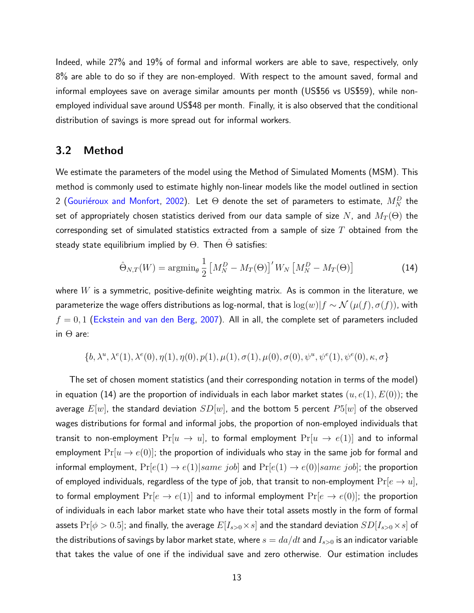Indeed, while 27% and 19% of formal and informal workers are able to save, respectively, only 8% are able to do so if they are non-employed. With respect to the amount saved, formal and informal employees save on average similar amounts per month (US\$56 vs US\$59), while nonemployed individual save around US\$48 per month. Finally, it is also observed that the conditional distribution of savings is more spread out for informal workers.

#### 3.2 Method

We estimate the parameters of the model using the Method of Simulated Moments (MSM). This method is commonly used to estimate highly non-linear models like the model outlined in section [2](#page-3-0) (Gouriéroux and Monfort, [2002\)](#page-23-10). Let  $\Theta$  denote the set of parameters to estimate,  $M_N^D$  the set of appropriately chosen statistics derived from our data sample of size  $N$ , and  $M_T(\Theta)$  the corresponding set of simulated statistics extracted from a sample of size  $T$  obtained from the steady state equilibrium implied by  $\Theta$ . Then  $\Theta$  satisfies:

<span id="page-12-0"></span>
$$
\hat{\Theta}_{N,T}(W) = \operatorname{argmin}_{\theta} \frac{1}{2} \left[ M_N^D - M_T(\Theta) \right]' W_N \left[ M_N^D - M_T(\Theta) \right] \tag{14}
$$

where  $W$  is a symmetric, positive-definite weighting matrix. As is common in the literature, we parameterize the wage offers distributions as log-normal, that is  $\log(w)|f \sim \mathcal{N}(\mu(f), \sigma(f))$ , with  $f = 0, 1$  [\(Eckstein and van den Berg,](#page-22-10) [2007\)](#page-22-10). All in all, the complete set of parameters included in  $\Theta$  are:

$$
\{b, \lambda^u, \lambda^e(1), \lambda^e(0), \eta(1), \eta(0), p(1), \mu(1), \sigma(1), \mu(0), \sigma(0), \psi^u, \psi^e(1), \psi^e(0), \kappa, \sigma\}
$$

The set of chosen moment statistics (and their corresponding notation in terms of the model) in equation [\(14\)](#page-12-0) are the proportion of individuals in each labor market states  $(u, e(1), E(0))$ ; the average  $E[w]$ , the standard deviation  $SD[w]$ , and the bottom 5 percent  $P5[w]$  of the observed wages distributions for formal and informal jobs, the proportion of non-employed individuals that transit to non-employment  $Pr[u \rightarrow u]$ , to formal employment  $Pr[u \rightarrow e(1)]$  and to informal employment  $Pr[u \rightarrow e(0)]$ ; the proportion of individuals who stay in the same job for formal and informal employment,  $Pr[e(1) \rightarrow e(1)| same\ job]$  and  $Pr[e(1) \rightarrow e(0)| same\ job]$ ; the proportion of employed individuals, regardless of the type of job, that transit to non-employment  $Pr[e \rightarrow u]$ , to formal employment  $Pr[e \rightarrow e(1)]$  and to informal employment  $Pr[e \rightarrow e(0)]$ ; the proportion of individuals in each labor market state who have their total assets mostly in the form of formal assets  $Pr[\phi > 0.5]$ ; and finally, the average  $E[I_{s>0} \times s]$  and the standard deviation  $SD[I_{s>0} \times s]$  of the distributions of savings by labor market state, where  $s = da/dt$  and  $I_{s>0}$  is an indicator variable that takes the value of one if the individual save and zero otherwise. Our estimation includes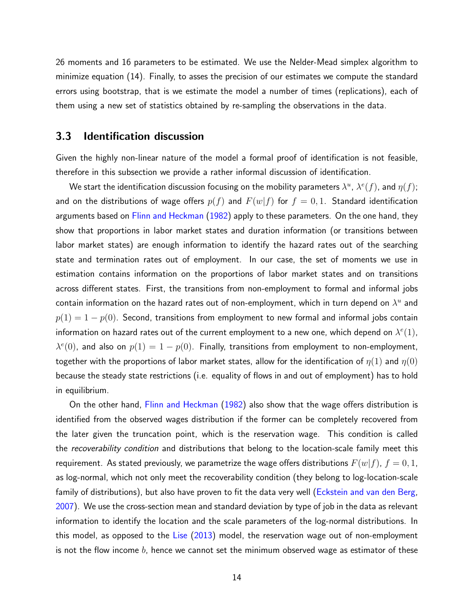26 moments and 16 parameters to be estimated. We use the Nelder-Mead simplex algorithm to minimize equation [\(14\)](#page-12-0). Finally, to asses the precision of our estimates we compute the standard errors using bootstrap, that is we estimate the model a number of times (replications), each of them using a new set of statistics obtained by re-sampling the observations in the data.

#### 3.3 Identification discussion

Given the highly non-linear nature of the model a formal proof of identification is not feasible, therefore in this subsection we provide a rather informal discussion of identification.

We start the identification discussion focusing on the mobility parameters  $\lambda^u$ ,  $\lambda^e(f)$ , and  $\eta(f)$ ; and on the distributions of wage offers  $p(f)$  and  $F(w|f)$  for  $f = 0, 1$ . Standard identification arguments based on [Flinn and Heckman](#page-22-11) [\(1982\)](#page-22-11) apply to these parameters. On the one hand, they show that proportions in labor market states and duration information (or transitions between labor market states) are enough information to identify the hazard rates out of the searching state and termination rates out of employment. In our case, the set of moments we use in estimation contains information on the proportions of labor market states and on transitions across different states. First, the transitions from non-employment to formal and informal jobs contain information on the hazard rates out of non-employment, which in turn depend on  $\lambda^u$  and  $p(1) = 1 - p(0)$ . Second, transitions from employment to new formal and informal jobs contain information on hazard rates out of the current employment to a new one, which depend on  $\lambda^{e}(1)$ ,  $\lambda^{e}(0)$ , and also on  $p(1) = 1 - p(0)$ . Finally, transitions from employment to non-employment, together with the proportions of labor market states, allow for the identification of  $\eta(1)$  and  $\eta(0)$ because the steady state restrictions (i.e. equality of flows in and out of employment) has to hold in equilibrium.

On the other hand, [Flinn and Heckman](#page-22-11) [\(1982\)](#page-22-11) also show that the wage offers distribution is identified from the observed wages distribution if the former can be completely recovered from the later given the truncation point, which is the reservation wage. This condition is called the *recoverability condition* and distributions that belong to the location-scale family meet this requirement. As stated previously, we parametrize the wage offers distributions  $F(w|f)$ ,  $f = 0, 1$ , as log-normal, which not only meet the recoverability condition (they belong to log-location-scale family of distributions), but also have proven to fit the data very well [\(Eckstein and van den Berg,](#page-22-10) [2007\)](#page-22-10). We use the cross-section mean and standard deviation by type of job in the data as relevant information to identify the location and the scale parameters of the log-normal distributions. In this model, as opposed to the [Lise](#page-23-4) [\(2013\)](#page-23-4) model, the reservation wage out of non-employment is not the flow income  $b$ , hence we cannot set the minimum observed wage as estimator of these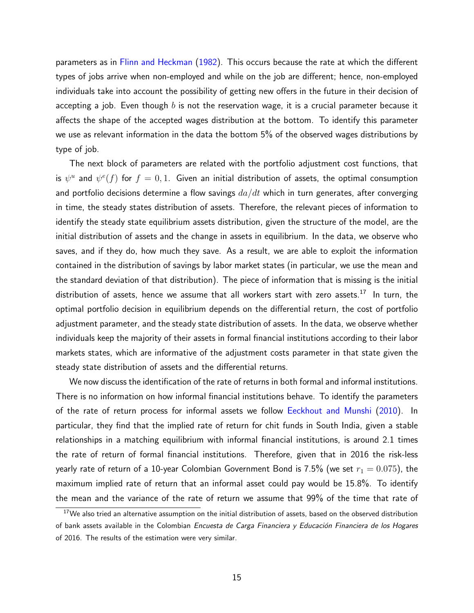parameters as in [Flinn and Heckman](#page-22-11) [\(1982\)](#page-22-11). This occurs because the rate at which the different types of jobs arrive when non-employed and while on the job are different; hence, non-employed individuals take into account the possibility of getting new offers in the future in their decision of accepting a job. Even though  $b$  is not the reservation wage, it is a crucial parameter because it affects the shape of the accepted wages distribution at the bottom. To identify this parameter we use as relevant information in the data the bottom 5% of the observed wages distributions by type of job.

The next block of parameters are related with the portfolio adjustment cost functions, that is  $\psi^u$  and  $\psi^e(f)$  for  $f=0,1$ . Given an initial distribution of assets, the optimal consumption and portfolio decisions determine a flow savings  $da/dt$  which in turn generates, after converging in time, the steady states distribution of assets. Therefore, the relevant pieces of information to identify the steady state equilibrium assets distribution, given the structure of the model, are the initial distribution of assets and the change in assets in equilibrium. In the data, we observe who saves, and if they do, how much they save. As a result, we are able to exploit the information contained in the distribution of savings by labor market states (in particular, we use the mean and the standard deviation of that distribution). The piece of information that is missing is the initial distribution of assets, hence we assume that all workers start with zero assets.<sup>[17](#page-14-0)</sup> In turn, the optimal portfolio decision in equilibrium depends on the differential return, the cost of portfolio adjustment parameter, and the steady state distribution of assets. In the data, we observe whether individuals keep the majority of their assets in formal financial institutions according to their labor markets states, which are informative of the adjustment costs parameter in that state given the steady state distribution of assets and the differential returns.

We now discuss the identification of the rate of returns in both formal and informal institutions. There is no information on how informal financial institutions behave. To identify the parameters of the rate of return process for informal assets we follow [Eeckhout and Munshi](#page-22-1) [\(2010\)](#page-22-1). In particular, they find that the implied rate of return for chit funds in South India, given a stable relationships in a matching equilibrium with informal financial institutions, is around 2.1 times the rate of return of formal financial institutions. Therefore, given that in 2016 the risk-less yearly rate of return of a 10-year Colombian Government Bond is 7.5% (we set  $r_1 = 0.075$ ), the maximum implied rate of return that an informal asset could pay would be 15.8%. To identify the mean and the variance of the rate of return we assume that 99% of the time that rate of

<span id="page-14-0"></span> $17$ We also tried an alternative assumption on the initial distribution of assets, based on the observed distribution of bank assets available in the Colombian Encuesta de Carga Financiera y Educación Financiera de los Hogares of 2016. The results of the estimation were very similar.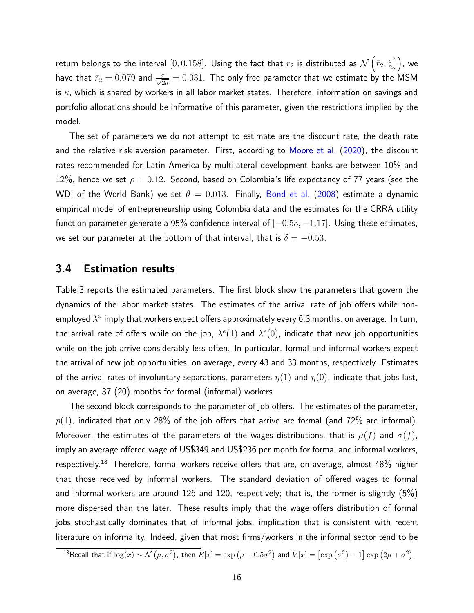return belongs to the interval  $[0,0.158]$ . Using the fact that  $r_2$  is distributed as  $\mathcal{N}\left(\bar{r}_2,\frac{\sigma^2}{2\kappa}\right)$  $\frac{\sigma^2}{2\kappa}\Big),$  we have that  $\bar{r}_2=0.079$  and  $\frac{\sigma}{\sqrt{2\kappa}}=0.031.$  The only free parameter that we estimate by the MSM is  $\kappa$ , which is shared by workers in all labor market states. Therefore, information on savings and portfolio allocations should be informative of this parameter, given the restrictions implied by the model.

The set of parameters we do not attempt to estimate are the discount rate, the death rate and the relative risk aversion parameter. First, according to [Moore et al.](#page-23-11) [\(2020\)](#page-23-11), the discount rates recommended for Latin America by multilateral development banks are between 10% and 12%, hence we set  $\rho = 0.12$ . Second, based on Colombia's life expectancy of 77 years (see the WDI of the World Bank) we set  $\theta = 0.013$ . Finally, [Bond et al.](#page-21-11) [\(2008\)](#page-21-11) estimate a dynamic empirical model of entrepreneurship using Colombia data and the estimates for the CRRA utility function parameter generate a 95% confidence interval of  $[-0.53, -1.17]$ . Using these estimates, we set our parameter at the bottom of that interval, that is  $\delta = -0.53$ .

#### 3.4 Estimation results

Table [3](#page-27-0) reports the estimated parameters. The first block show the parameters that govern the dynamics of the labor market states. The estimates of the arrival rate of job offers while nonemployed  $\lambda^u$  imply that workers expect offers approximately every 6.3 months, on average. In turn, the arrival rate of offers while on the job,  $\lambda^{e}(1)$  and  $\lambda^{e}(0)$ , indicate that new job opportunities while on the job arrive considerably less often. In particular, formal and informal workers expect the arrival of new job opportunities, on average, every 43 and 33 months, respectively. Estimates of the arrival rates of involuntary separations, parameters  $\eta(1)$  and  $\eta(0)$ , indicate that jobs last, on average, 37 (20) months for formal (informal) workers.

The second block corresponds to the parameter of job offers. The estimates of the parameter,  $p(1)$ , indicated that only 28% of the job offers that arrive are formal (and 72% are informal). Moreover, the estimates of the parameters of the wages distributions, that is  $\mu(f)$  and  $\sigma(f)$ , imply an average offered wage of US\$349 and US\$236 per month for formal and informal workers, respectively.[18](#page-15-0) Therefore, formal workers receive offers that are, on average, almost 48% higher that those received by informal workers. The standard deviation of offered wages to formal and informal workers are around 126 and 120, respectively; that is, the former is slightly (5%) more dispersed than the later. These results imply that the wage offers distribution of formal jobs stochastically dominates that of informal jobs, implication that is consistent with recent literature on informality. Indeed, given that most firms/workers in the informal sector tend to be

<span id="page-15-0"></span><sup>&</sup>lt;sup>18</sup>Recall that if  $\log(x) \sim \mathcal{N}(\mu, \sigma^2)$ , then  $E[x] = \exp(\mu + 0.5\sigma^2)$  and  $V[x] = [\exp(\sigma^2) - 1] \exp(2\mu + \sigma^2)$ .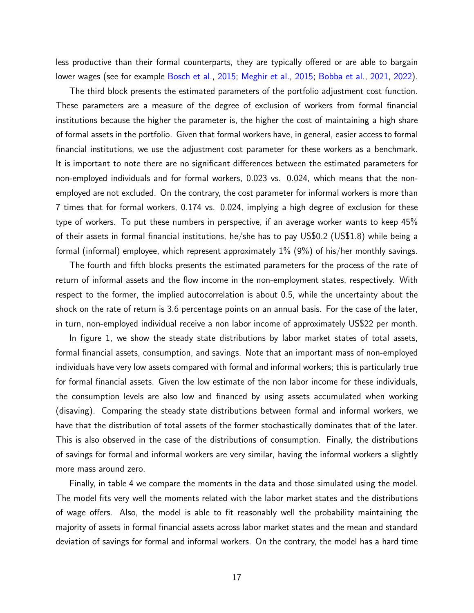less productive than their formal counterparts, they are typically offered or are able to bargain lower wages (see for example [Bosch et al.,](#page-22-12) [2015;](#page-23-2) [Meghir et al.,](#page-23-2) 2015; [Bobba et al.,](#page-21-3) [2021,](#page-21-3) [2022\)](#page-21-4).

The third block presents the estimated parameters of the portfolio adjustment cost function. These parameters are a measure of the degree of exclusion of workers from formal financial institutions because the higher the parameter is, the higher the cost of maintaining a high share of formal assets in the portfolio. Given that formal workers have, in general, easier access to formal financial institutions, we use the adjustment cost parameter for these workers as a benchmark. It is important to note there are no significant differences between the estimated parameters for non-employed individuals and for formal workers, 0.023 vs. 0.024, which means that the nonemployed are not excluded. On the contrary, the cost parameter for informal workers is more than 7 times that for formal workers, 0.174 vs. 0.024, implying a high degree of exclusion for these type of workers. To put these numbers in perspective, if an average worker wants to keep 45% of their assets in formal financial institutions, he/she has to pay US\$0.2 (US\$1.8) while being a formal (informal) employee, which represent approximately 1% (9%) of his/her monthly savings.

The fourth and fifth blocks presents the estimated parameters for the process of the rate of return of informal assets and the flow income in the non-employment states, respectively. With respect to the former, the implied autocorrelation is about 0.5, while the uncertainty about the shock on the rate of return is 3.6 percentage points on an annual basis. For the case of the later, in turn, non-employed individual receive a non labor income of approximately US\$22 per month.

In figure [1,](#page-31-0) we show the steady state distributions by labor market states of total assets, formal financial assets, consumption, and savings. Note that an important mass of non-employed individuals have very low assets compared with formal and informal workers; this is particularly true for formal financial assets. Given the low estimate of the non labor income for these individuals, the consumption levels are also low and financed by using assets accumulated when working (disaving). Comparing the steady state distributions between formal and informal workers, we have that the distribution of total assets of the former stochastically dominates that of the later. This is also observed in the case of the distributions of consumption. Finally, the distributions of savings for formal and informal workers are very similar, having the informal workers a slightly more mass around zero.

Finally, in table [4](#page-28-0) we compare the moments in the data and those simulated using the model. The model fits very well the moments related with the labor market states and the distributions of wage offers. Also, the model is able to fit reasonably well the probability maintaining the majority of assets in formal financial assets across labor market states and the mean and standard deviation of savings for formal and informal workers. On the contrary, the model has a hard time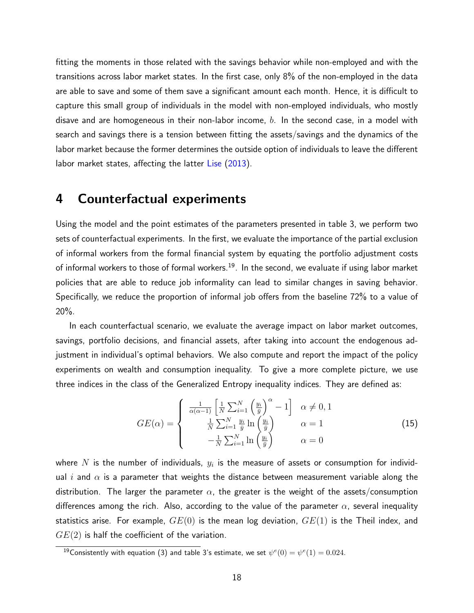fitting the moments in those related with the savings behavior while non-employed and with the transitions across labor market states. In the first case, only 8% of the non-employed in the data are able to save and some of them save a significant amount each month. Hence, it is difficult to capture this small group of individuals in the model with non-employed individuals, who mostly disave and are homogeneous in their non-labor income,  $b$ . In the second case, in a model with search and savings there is a tension between fitting the assets/savings and the dynamics of the labor market because the former determines the outside option of individuals to leave the different labor market states, affecting the latter [Lise](#page-23-4) [\(2013\)](#page-23-4).

### <span id="page-17-0"></span>4 Counterfactual experiments

Using the model and the point estimates of the parameters presented in table [3,](#page-27-0) we perform two sets of counterfactual experiments. In the first, we evaluate the importance of the partial exclusion of informal workers from the formal financial system by equating the portfolio adjustment costs of informal workers to those of formal workers.<sup>[19](#page-17-1)</sup>. In the second, we evaluate if using labor market policies that are able to reduce job informality can lead to similar changes in saving behavior. Specifically, we reduce the proportion of informal job offers from the baseline 72% to a value of 20%.

In each counterfactual scenario, we evaluate the average impact on labor market outcomes, savings, portfolio decisions, and financial assets, after taking into account the endogenous adjustment in individual's optimal behaviors. We also compute and report the impact of the policy experiments on wealth and consumption inequality. To give a more complete picture, we use three indices in the class of the Generalized Entropy inequality indices. They are defined as:

<span id="page-17-2"></span>
$$
GE(\alpha) = \begin{cases} \frac{1}{\alpha(\alpha-1)} \left[ \frac{1}{N} \sum_{i=1}^{N} \left( \frac{y_i}{\bar{y}} \right)^{\alpha} - 1 \right] & \alpha \neq 0, 1\\ \frac{1}{N} \sum_{i=1}^{N} \frac{y_i}{\bar{y}} \ln \left( \frac{y_i}{\bar{y}} \right) & \alpha = 1\\ -\frac{1}{N} \sum_{i=1}^{N} \ln \left( \frac{y_i}{\bar{y}} \right) & \alpha = 0 \end{cases} \tag{15}
$$

where  $N$  is the number of individuals,  $y_i$  is the measure of assets or consumption for individual i and  $\alpha$  is a parameter that weights the distance between measurement variable along the distribution. The larger the parameter  $\alpha$ , the greater is the weight of the assets/consumption differences among the rich. Also, according to the value of the parameter  $\alpha$ , several inequality statistics arise. For example,  $GE(0)$  is the mean log deviation,  $GE(1)$  is the Theil index, and  $GE(2)$  is half the coefficient of the variation.

<span id="page-17-1"></span> $^{19}$ Consistently with equation [\(3\)](#page-5-2) and table [3'](#page-27-0)s estimate, we set  $\psi^{e}(0)=\psi^{e}(1)=0.024.$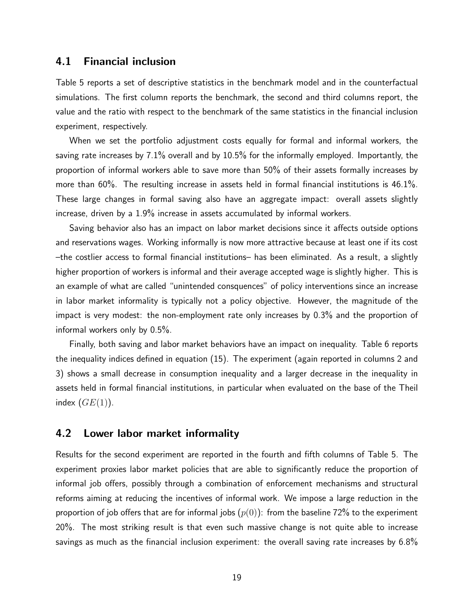#### 4.1 Financial inclusion

Table [5](#page-29-0) reports a set of descriptive statistics in the benchmark model and in the counterfactual simulations. The first column reports the benchmark, the second and third columns report, the value and the ratio with respect to the benchmark of the same statistics in the financial inclusion experiment, respectively.

When we set the portfolio adjustment costs equally for formal and informal workers, the saving rate increases by 7.1% overall and by 10.5% for the informally employed. Importantly, the proportion of informal workers able to save more than 50% of their assets formally increases by more than 60%. The resulting increase in assets held in formal financial institutions is 46.1%. These large changes in formal saving also have an aggregate impact: overall assets slightly increase, driven by a 1.9% increase in assets accumulated by informal workers.

Saving behavior also has an impact on labor market decisions since it affects outside options and reservations wages. Working informally is now more attractive because at least one if its cost –the costlier access to formal financial institutions– has been eliminated. As a result, a slightly higher proportion of workers is informal and their average accepted wage is slightly higher. This is an example of what are called "unintended consquences" of policy interventions since an increase in labor market informality is typically not a policy objective. However, the magnitude of the impact is very modest: the non-employment rate only increases by 0.3% and the proportion of informal workers only by 0.5%.

Finally, both saving and labor market behaviors have an impact on inequality. Table [6](#page-30-0) reports the inequality indices defined in equation [\(15\)](#page-17-2). The experiment (again reported in columns 2 and 3) shows a small decrease in consumption inequality and a larger decrease in the inequality in assets held in formal financial institutions, in particular when evaluated on the base of the Theil index  $(GE(1))$ .

#### 4.2 Lower labor market informality

Results for the second experiment are reported in the fourth and fifth columns of Table [5.](#page-29-0) The experiment proxies labor market policies that are able to significantly reduce the proportion of informal job offers, possibly through a combination of enforcement mechanisms and structural reforms aiming at reducing the incentives of informal work. We impose a large reduction in the proportion of job offers that are for informal jobs  $(p(0))$ : from the baseline 72% to the experiment 20%. The most striking result is that even such massive change is not quite able to increase savings as much as the financial inclusion experiment: the overall saving rate increases by 6.8%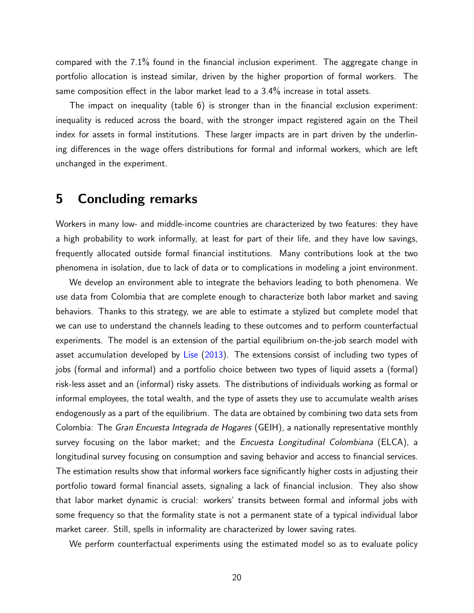compared with the 7.1% found in the financial inclusion experiment. The aggregate change in portfolio allocation is instead similar, driven by the higher proportion of formal workers. The same composition effect in the labor market lead to a 3.4% increase in total assets.

The impact on inequality (table [6\)](#page-30-0) is stronger than in the financial exclusion experiment: inequality is reduced across the board, with the stronger impact registered again on the Theil index for assets in formal institutions. These larger impacts are in part driven by the underlining differences in the wage offers distributions for formal and informal workers, which are left unchanged in the experiment.

### <span id="page-19-0"></span>5 Concluding remarks

Workers in many low- and middle-income countries are characterized by two features: they have a high probability to work informally, at least for part of their life, and they have low savings, frequently allocated outside formal financial institutions. Many contributions look at the two phenomena in isolation, due to lack of data or to complications in modeling a joint environment.

We develop an environment able to integrate the behaviors leading to both phenomena. We use data from Colombia that are complete enough to characterize both labor market and saving behaviors. Thanks to this strategy, we are able to estimate a stylized but complete model that we can use to understand the channels leading to these outcomes and to perform counterfactual experiments. The model is an extension of the partial equilibrium on-the-job search model with asset accumulation developed by [Lise](#page-23-4) [\(2013\)](#page-23-4). The extensions consist of including two types of jobs (formal and informal) and a portfolio choice between two types of liquid assets a (formal) risk-less asset and an (informal) risky assets. The distributions of individuals working as formal or informal employees, the total wealth, and the type of assets they use to accumulate wealth arises endogenously as a part of the equilibrium. The data are obtained by combining two data sets from Colombia: The Gran Encuesta Integrada de Hogares (GEIH), a nationally representative monthly survey focusing on the labor market; and the *Encuesta Longitudinal Colombiana* (ELCA), a longitudinal survey focusing on consumption and saving behavior and access to financial services. The estimation results show that informal workers face significantly higher costs in adjusting their portfolio toward formal financial assets, signaling a lack of financial inclusion. They also show that labor market dynamic is crucial: workers' transits between formal and informal jobs with some frequency so that the formality state is not a permanent state of a typical individual labor market career. Still, spells in informality are characterized by lower saving rates.

We perform counterfactual experiments using the estimated model so as to evaluate policy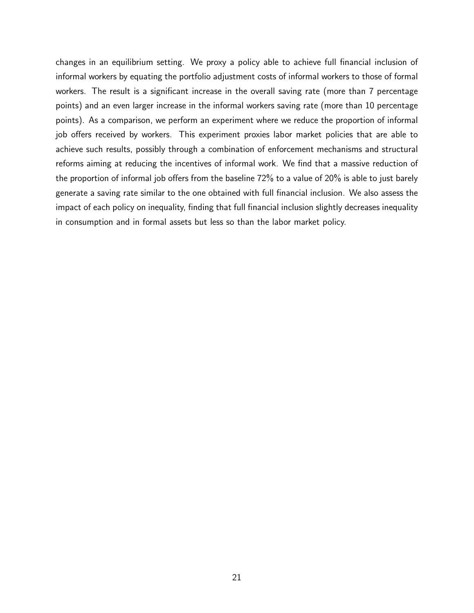changes in an equilibrium setting. We proxy a policy able to achieve full financial inclusion of informal workers by equating the portfolio adjustment costs of informal workers to those of formal workers. The result is a significant increase in the overall saving rate (more than 7 percentage points) and an even larger increase in the informal workers saving rate (more than 10 percentage points). As a comparison, we perform an experiment where we reduce the proportion of informal job offers received by workers. This experiment proxies labor market policies that are able to achieve such results, possibly through a combination of enforcement mechanisms and structural reforms aiming at reducing the incentives of informal work. We find that a massive reduction of the proportion of informal job offers from the baseline 72% to a value of 20% is able to just barely generate a saving rate similar to the one obtained with full financial inclusion. We also assess the impact of each policy on inequality, finding that full financial inclusion slightly decreases inequality in consumption and in formal assets but less so than the labor market policy.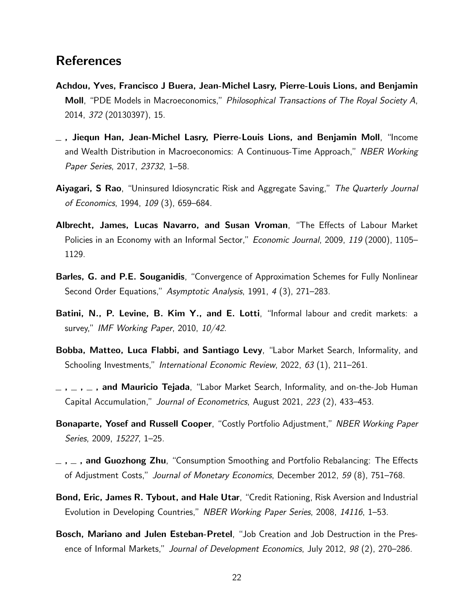### **References**

- <span id="page-21-8"></span>Achdou, Yves, Francisco J Buera, Jean-Michel Lasry, Pierre-Louis Lions, and Benjamin Moll, "PDE Models in Macroeconomics," Philosophical Transactions of The Royal Society A, 2014, 372 (20130397), 15.
- <span id="page-21-9"></span> $\_$  , Jiequn Han, Jean-Michel Lasry, Pierre-Louis Lions, and Benjamin Moll, "Income and Wealth Distribution in Macroeconomics: A Continuous-Time Approach," NBER Working Paper Series, 2017, 23732, 1–58.
- <span id="page-21-5"></span>Aiyagari, S Rao, "Uninsured Idiosyncratic Risk and Aggregate Saving," The Quarterly Journal of Economics, 1994, 109 (3), 659–684.
- <span id="page-21-1"></span>Albrecht, James, Lucas Navarro, and Susan Vroman, "The Effects of Labour Market Policies in an Economy with an Informal Sector," *Economic Journal*, 2009, 119 (2000), 1105– 1129.
- <span id="page-21-10"></span>Barles, G. and P.E. Souganidis, "Convergence of Approximation Schemes for Fully Nonlinear Second Order Equations," Asymptotic Analysis, 1991, 4 (3), 271–283.
- <span id="page-21-0"></span>Batini, N., P. Levine, B. Kim Y., and E. Lotti, "Informal labour and credit markets: a survey," IMF Working Paper, 2010, 10/42.
- <span id="page-21-4"></span>Bobba, Matteo, Luca Flabbi, and Santiago Levy, "Labor Market Search, Informality, and Schooling Investments," International Economic Review, 2022, 63 (1), 211–261.
- <span id="page-21-3"></span> $-$ ,  $-$ ,  $-$ , and Mauricio Tejada, "Labor Market Search, Informality, and on-the-Job Human Capital Accumulation," Journal of Econometrics, August 2021, 223 (2), 433–453.
- <span id="page-21-6"></span>**Bonaparte, Yosef and Russell Cooper**, "Costly Portfolio Adjustment," NBER Working Paper Series, 2009, 15227, 1–25.
- <span id="page-21-7"></span> $\mu$  ,  $\mu$  , and Guozhong Zhu, "Consumption Smoothing and Portfolio Rebalancing: The Effects of Adjustment Costs," Journal of Monetary Economics, December 2012, 59 (8), 751–768.
- <span id="page-21-11"></span>Bond, Eric, James R. Tybout, and Hale Utar, "Credit Rationing, Risk Aversion and Industrial Evolution in Developing Countries," NBER Working Paper Series, 2008, 14116, 1–53.
- <span id="page-21-2"></span>Bosch, Mariano and Julen Esteban-Pretel, "Job Creation and Job Destruction in the Presence of Informal Markets," Journal of Development Economics, July 2012, 98 (2), 270–286.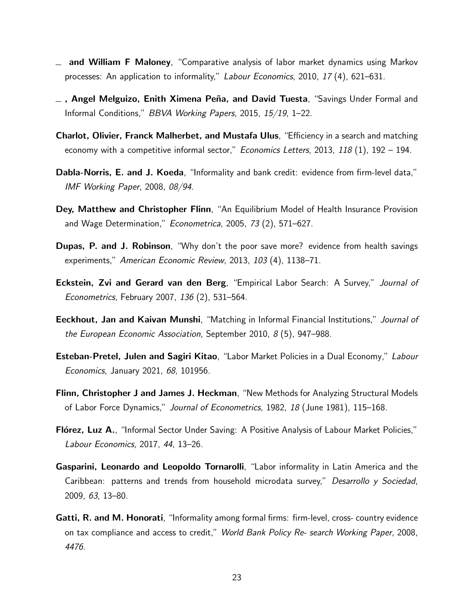- <span id="page-22-7"></span>and William F Maloney, "Comparative analysis of labor market dynamics using Markov processes: An application to informality," Labour Economics, 2010, 17 (4), 621–631.
- <span id="page-22-12"></span> $-$ , Angel Melguizo, Enith Ximena Peña, and David Tuesta, "Savings Under Formal and Informal Conditions," BBVA Working Papers, 2015, 15/19, 1–22.
- <span id="page-22-5"></span>Charlot, Olivier, Franck Malherbet, and Mustafa Ulus, "Efficiency in a search and matching economy with a competitive informal sector," *Economics Letters*, 2013, 118  $(1)$ , 192 – 194.
- <span id="page-22-4"></span>Dabla-Norris, E. and J. Koeda, "Informality and bank credit: evidence from firm-level data," IMF Working Paper, 2008, 08/94.
- <span id="page-22-9"></span>Dey, Matthew and Christopher Flinn, "An Equilibrium Model of Health Insurance Provision and Wage Determination," Econometrica, 2005, 73 (2), 571–627.
- <span id="page-22-2"></span>Dupas, P. and J. Robinson, "Why don't the poor save more? evidence from health savings experiments," American Economic Review, 2013, 103 (4), 1138–71.
- <span id="page-22-10"></span>**Eckstein, Zvi and Gerard van den Berg, "Empirical Labor Search: A Survey," Journal of** Econometrics, February 2007, 136 (2), 531–564.
- <span id="page-22-1"></span>**Eeckhout, Jan and Kaivan Munshi**, "Matching in Informal Financial Institutions," Journal of the European Economic Association, September 2010, 8 (5), 947–988.
- <span id="page-22-6"></span>**Esteban-Pretel, Julen and Sagiri Kitao**, "Labor Market Policies in a Dual Economy," Labour Economics, January 2021, 68, 101956.
- <span id="page-22-11"></span>Flinn, Christopher J and James J. Heckman, "New Methods for Analyzing Structural Models of Labor Force Dynamics," Journal of Econometrics, 1982, 18 (June 1981), 115–168.
- <span id="page-22-8"></span>Flórez, Luz A., "Informal Sector Under Saving: A Positive Analysis of Labour Market Policies," Labour Economics, 2017, 44, 13–26.
- <span id="page-22-0"></span>Gasparini, Leonardo and Leopoldo Tornarolli, "Labor informality in Latin America and the Caribbean: patterns and trends from household microdata survey," Desarrollo y Sociedad, 2009, 63, 13–80.
- <span id="page-22-3"></span>Gatti, R. and M. Honorati, "Informality among formal firms: firm-level, cross- country evidence on tax compliance and access to credit," World Bank Policy Re- search Working Paper, 2008, 4476.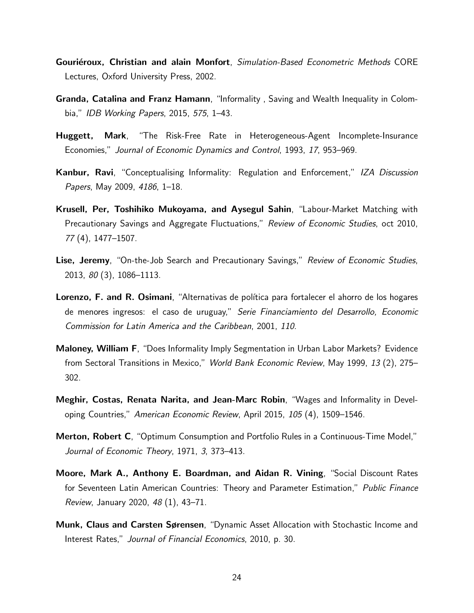- <span id="page-23-10"></span>Gouriéroux, Christian and alain Monfort, Simulation-Based Econometric Methods CORE Lectures, Oxford University Press, 2002.
- <span id="page-23-1"></span>Granda, Catalina and Franz Hamann, "Informality , Saving and Wealth Inequality in Colombia," IDB Working Papers, 2015, 575, 1–43.
- <span id="page-23-6"></span>Huggett, Mark, "The Risk-Free Rate in Heterogeneous-Agent Incomplete-Insurance Economies," Journal of Economic Dynamics and Control, 1993, 17, 953–969.
- <span id="page-23-9"></span>Kanbur, Ravi, "Conceptualising Informality: Regulation and Enforcement," IZA Discussion Papers, May 2009, 4186, 1-18.
- <span id="page-23-3"></span>Krusell, Per, Toshihiko Mukoyama, and Aysegul Sahin, "Labour-Market Matching with Precautionary Savings and Aggregate Fluctuations," Review of Economic Studies, oct 2010, 77 (4), 1477–1507.
- <span id="page-23-4"></span>Lise, Jeremy, "On-the-Job Search and Precautionary Savings," Review of Economic Studies, 2013, 80 (3), 1086–1113.
- <span id="page-23-0"></span>Lorenzo, F. and R. Osimani, "Alternativas de política para fortalecer el ahorro de los hogares de menores ingresos: el caso de uruguay," Serie Financiamiento del Desarrollo, Economic Commission for Latin America and the Caribbean, 2001, 110.
- <span id="page-23-5"></span>Maloney, William F, "Does Informality Imply Segmentation in Urban Labor Markets? Evidence from Sectoral Transitions in Mexico," World Bank Economic Review, May 1999, 13 (2), 275– 302.
- <span id="page-23-2"></span>Meghir, Costas, Renata Narita, and Jean-Marc Robin, "Wages and Informality in Developing Countries," American Economic Review, April 2015, 105 (4), 1509–1546.
- <span id="page-23-7"></span>Merton, Robert C, "Optimum Consumption and Portfolio Rules in a Continuous-Time Model," Journal of Economic Theory, 1971, 3, 373–413.
- <span id="page-23-11"></span>Moore, Mark A., Anthony E. Boardman, and Aidan R. Vining, "Social Discount Rates for Seventeen Latin American Countries: Theory and Parameter Estimation," Public Finance Review, January 2020, 48 (1), 43–71.
- <span id="page-23-8"></span>Munk, Claus and Carsten Sørensen, "Dynamic Asset Allocation with Stochastic Income and Interest Rates," Journal of Financial Economics, 2010, p. 30.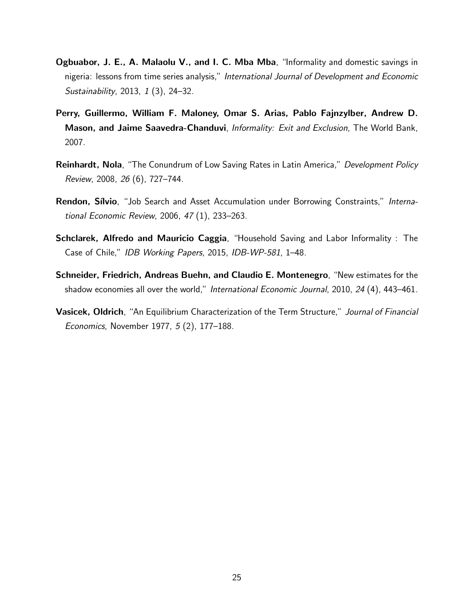- <span id="page-24-3"></span>Ogbuabor, J. E., A. Malaolu V., and I. C. Mba Mba, "Informality and domestic savings in nigeria: lessons from time series analysis," International Journal of Development and Economic Sustainability, 2013, 1 (3), 24–32.
- <span id="page-24-5"></span>Perry, Guillermo, William F. Maloney, Omar S. Arias, Pablo Fajnzylber, Andrew D. Mason, and Jaime Saavedra-Chanduvi, Informality: Exit and Exclusion, The World Bank, 2007.
- <span id="page-24-1"></span>**Reinhardt, Nola**, "The Conundrum of Low Saving Rates in Latin America," Development Policy Review, 2008, 26 (6), 727–744.
- <span id="page-24-4"></span>Rendon, Sílvio, "Job Search and Asset Accumulation under Borrowing Constraints," International Economic Review, 2006, 47 (1), 233–263.
- <span id="page-24-2"></span>Schclarek, Alfredo and Mauricio Caggia, "Household Saving and Labor Informality : The Case of Chile," IDB Working Papers, 2015, IDB-WP-581, 1–48.
- <span id="page-24-0"></span>Schneider, Friedrich, Andreas Buehn, and Claudio E. Montenegro, "New estimates for the shadow economies all over the world," International Economic Journal, 2010, 24 (4), 443-461.
- <span id="page-24-6"></span>Vasicek, Oldrich, "An Equilibrium Characterization of the Term Structure," Journal of Financial Economics, November 1977, 5 (2), 177–188.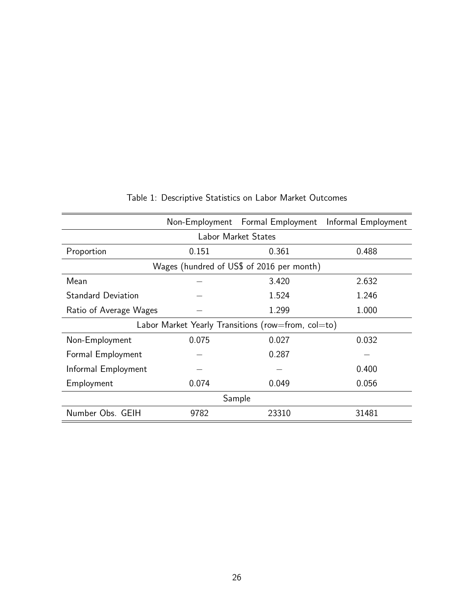<span id="page-25-0"></span>

|                                                    |       | Non-Employment Formal Employment | Informal Employment |  |  |
|----------------------------------------------------|-------|----------------------------------|---------------------|--|--|
| Labor Market States                                |       |                                  |                     |  |  |
| Proportion                                         | 0.151 | 0.361                            | 0.488               |  |  |
| Wages (hundred of US\$ of 2016 per month)          |       |                                  |                     |  |  |
| Mean                                               |       | 3.420                            | 2.632               |  |  |
| <b>Standard Deviation</b>                          |       | 1.524                            | 1.246               |  |  |
| Ratio of Average Wages                             |       | 1.299                            | 1.000               |  |  |
| Labor Market Yearly Transitions (row=from, col=to) |       |                                  |                     |  |  |
| Non-Employment                                     | 0.075 | 0.027                            | 0.032               |  |  |
| Formal Employment                                  |       | 0.287                            |                     |  |  |
| Informal Employment                                |       |                                  | 0.400               |  |  |
| Employment                                         | 0.074 | 0.049                            | 0.056               |  |  |
| Sample                                             |       |                                  |                     |  |  |
| Number Obs. GEIH                                   | 9782  | 23310                            | 31481               |  |  |

### Table 1: Descriptive Statistics on Labor Market Outcomes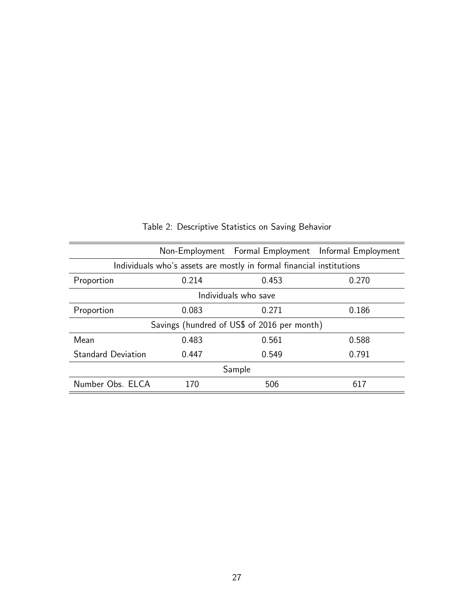<span id="page-26-0"></span>

|                                                                      |       |       | Non-Employment Formal Employment Informal Employment |  |  |
|----------------------------------------------------------------------|-------|-------|------------------------------------------------------|--|--|
| Individuals who's assets are mostly in formal financial institutions |       |       |                                                      |  |  |
| Proportion                                                           | 0.214 | 0.453 | 0.270                                                |  |  |
| Individuals who save                                                 |       |       |                                                      |  |  |
| Proportion                                                           | 0.083 | 0.271 | 0.186                                                |  |  |
| Savings (hundred of US\$ of 2016 per month)                          |       |       |                                                      |  |  |
| Mean                                                                 | 0.483 | 0.561 | 0.588                                                |  |  |
| <b>Standard Deviation</b>                                            | 0.447 | 0.549 | 0.791                                                |  |  |
| Sample                                                               |       |       |                                                      |  |  |
| Number Obs. ELCA                                                     | 170   | 506   | 617                                                  |  |  |

Table 2: Descriptive Statistics on Saving Behavior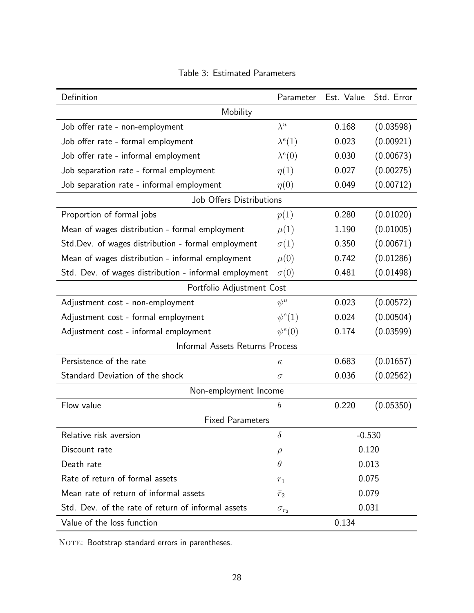<span id="page-27-0"></span>

| Definition                                            | Parameter         | Est. Value | Std. Error |  |  |
|-------------------------------------------------------|-------------------|------------|------------|--|--|
| Mobility                                              |                   |            |            |  |  |
| Job offer rate - non-employment                       | $\lambda^u$       | 0.168      | (0.03598)  |  |  |
| Job offer rate - formal employment                    | $\lambda^e(1)$    | 0.023      | (0.00921)  |  |  |
| Job offer rate - informal employment                  | $\lambda^e(0)$    | 0.030      | (0.00673)  |  |  |
| Job separation rate - formal employment               | $\eta(1)$         | 0.027      | (0.00275)  |  |  |
| Job separation rate - informal employment             | $\eta(0)$         | 0.049      | (0.00712)  |  |  |
| Job Offers Distributions                              |                   |            |            |  |  |
| Proportion of formal jobs                             | p(1)              | 0.280      | (0.01020)  |  |  |
| Mean of wages distribution - formal employment        | $\mu(1)$          | 1.190      | (0.01005)  |  |  |
| Std.Dev. of wages distribution - formal employment    | $\sigma(1)$       | 0.350      | (0.00671)  |  |  |
| Mean of wages distribution - informal employment      | $\mu(0)$          | 0.742      | (0.01286)  |  |  |
| Std. Dev. of wages distribution - informal employment | $\sigma(0)$       | 0.481      | (0.01498)  |  |  |
| Portfolio Adjustment Cost                             |                   |            |            |  |  |
| Adjustment cost - non-employment                      | $\psi^u$          | 0.023      | (0.00572)  |  |  |
| Adjustment cost - formal employment                   | $\psi^e(1)$       | 0.024      | (0.00504)  |  |  |
| Adjustment cost - informal employment                 | $\psi^e(0)$       | 0.174      | (0.03599)  |  |  |
| Informal Assets Returns Process                       |                   |            |            |  |  |
| Persistence of the rate                               | $\kappa$          | 0.683      | (0.01657)  |  |  |
| Standard Deviation of the shock                       | $\sigma$          | 0.036      | (0.02562)  |  |  |
| Non-employment Income                                 |                   |            |            |  |  |
| Flow value                                            | $\boldsymbol{b}$  | 0.220      | (0.05350)  |  |  |
| <b>Fixed Parameters</b>                               |                   |            |            |  |  |
| Relative risk aversion                                | $\delta$          | $-0.530$   |            |  |  |
| Discount rate                                         | $\rho$            | 0.120      |            |  |  |
| Death rate                                            | 0.013<br>$\theta$ |            |            |  |  |
| Rate of return of formal assets<br>0.075<br>$r_1\,$   |                   |            |            |  |  |
| Mean rate of return of informal assets                | $\bar{r}_2$       | 0.079      |            |  |  |
| Std. Dev. of the rate of return of informal assets    | $\sigma_{r_2}$    | 0.031      |            |  |  |
| Value of the loss function                            |                   | 0.134      |            |  |  |

### Table 3: Estimated Parameters

NOTE: Bootstrap standard errors in parentheses.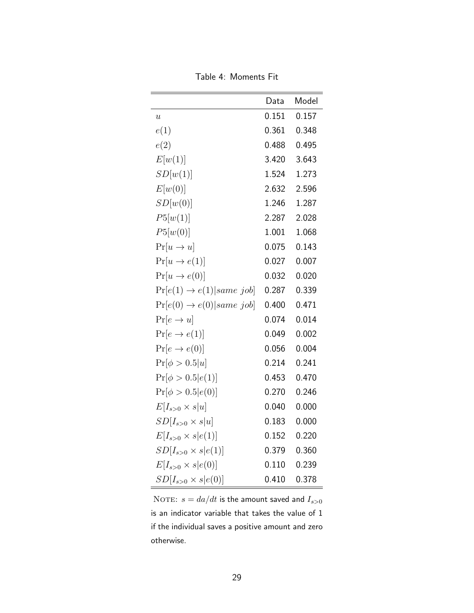<span id="page-28-0"></span>

|                                         | Data  | Model |
|-----------------------------------------|-------|-------|
|                                         | 0.151 | 0.157 |
| $\boldsymbol{u}$                        |       |       |
| e(1)                                    | 0.361 | 0.348 |
| e(2)                                    | 0.488 | 0.495 |
| E[w(1)]                                 | 3.420 | 3.643 |
| SD[w(1)]                                | 1.524 | 1.273 |
| E[w(0)]                                 | 2.632 | 2.596 |
| SD[w(0)]                                | 1.246 | 1.287 |
| P5[w(1)]                                | 2.287 | 2.028 |
| P5[w(0)]                                | 1.001 | 1.068 |
| $Pr[u \rightarrow u]$                   | 0.075 | 0.143 |
| $Pr[u \rightarrow e(1)]$                | 0.027 | 0.007 |
| $Pr[u \rightarrow e(0)]$                | 0.032 | 0.020 |
| $Pr[e(1) \rightarrow e(1)  same\; job]$ | 0.287 | 0.339 |
| $Pr[e(0) \rightarrow e(0)  same\; job]$ | 0.400 | 0.471 |
| $Pr[e \rightarrow u]$                   | 0.074 | 0.014 |
| $Pr[e \rightarrow e(1)]$                | 0.049 | 0.002 |
| $Pr[e \rightarrow e(0)]$                | 0.056 | 0.004 |
| $Pr[\phi > 0.5 u]$                      | 0.214 | 0.241 |
| $Pr[\phi > 0.5 e(1)]$                   | 0.453 | 0.470 |
| $Pr[\phi > 0.5 e(0)]$                   | 0.270 | 0.246 |
| $E[I_{s>0}\times s u]$                  | 0.040 | 0.000 |
| $SD[Is>0 \times s u]$                   | 0.183 | 0.000 |
| $E[I_{s>0}\times s e(1)]$               | 0.152 | 0.220 |
| $SD[Is>0 \times s e(1)]$                | 0.379 | 0.360 |
| $E[I_{s>0}\times s e(0)]$               | 0.110 | 0.239 |
| $SD[Is>0 \times s e(0)]$                | 0.410 | 0.378 |

Table 4: Moments Fit

NOTE:  $s = da/dt$  is the amount saved and  $I_{s>0}$ is an indicator variable that takes the value of 1 if the individual saves a positive amount and zero otherwise.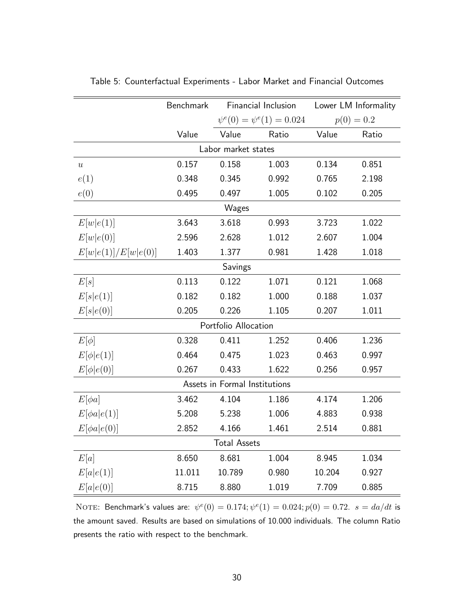|                               | Benchmark |                      | Financial Inclusion             |        | Lower LM Informality |  |
|-------------------------------|-----------|----------------------|---------------------------------|--------|----------------------|--|
|                               |           |                      | $\psi^e(0) = \psi^e(1) = 0.024$ |        | $p(0) = 0.2$         |  |
|                               | Value     | Value                | Ratio                           | Value  | Ratio                |  |
|                               |           | Labor market states  |                                 |        |                      |  |
| $\overline{u}$                | 0.157     | 0.158                | 1.003                           | 0.134  | 0.851                |  |
| e(1)                          | 0.348     | 0.345                | 0.992                           | 0.765  | 2.198                |  |
| e(0)                          | 0.495     | 0.497                | 1.005                           | 0.102  | 0.205                |  |
|                               |           | Wages                |                                 |        |                      |  |
| E[w e(1)]                     | 3.643     | 3.618                | 0.993                           | 3.723  | 1.022                |  |
| E[w e(0)]                     | 2.596     | 2.628                | 1.012                           | 2.607  | 1.004                |  |
| E[w e(1)]/E[w e(0)]           | 1.403     | 1.377                | 0.981                           | 1.428  | 1.018                |  |
|                               |           | Savings              |                                 |        |                      |  |
| E[s]                          | 0.113     | 0.122                | 1.071                           | 0.121  | 1.068                |  |
| E[s e(1)]                     | 0.182     | 0.182                | 1.000                           | 0.188  | 1.037                |  |
| E[s e(0)]                     | 0.205     | 0.226                | 1.105                           | 0.207  | 1.011                |  |
|                               |           | Portfolio Allocation |                                 |        |                      |  |
| $E[\phi]$                     | 0.328     | 0.411                | 1.252                           | 0.406  | 1.236                |  |
| $E[\phi e(1)]$                | 0.464     | 0.475                | 1.023                           | 0.463  | 0.997                |  |
| $E[\phi e(0)]$                | 0.267     | 0.433                | 1.622                           | 0.256  | 0.957                |  |
| Assets in Formal Institutions |           |                      |                                 |        |                      |  |
| $E[\phi a]$                   | 3.462     | 4.104                | 1.186                           | 4.174  | 1.206                |  |
| $E[\phi a e(1)]$              | 5.208     | 5.238                | 1.006                           | 4.883  | 0.938                |  |
| $E[\phi a e(0)]$              | 2.852     | 4.166                | 1.461                           | 2.514  | 0.881                |  |
| <b>Total Assets</b>           |           |                      |                                 |        |                      |  |
| E[a]                          | 8.650     | 8.681                | 1.004                           | 8.945  | 1.034                |  |
| E[a e(1)]                     | 11.011    | 10.789               | 0.980                           | 10.204 | 0.927                |  |
| E[a e(0)]                     | 8.715     | 8.880                | 1.019                           | 7.709  | 0.885                |  |

<span id="page-29-0"></span>Table 5: Counterfactual Experiments - Labor Market and Financial Outcomes

NOTE: Benchmark's values are:  $\psi^e(0) = 0.174; \psi^e(1) = 0.024; p(0) = 0.72.$   $s = da/dt$  is the amount saved. Results are based on simulations of 10.000 individuals. The column Ratio presents the ratio with respect to the benchmark.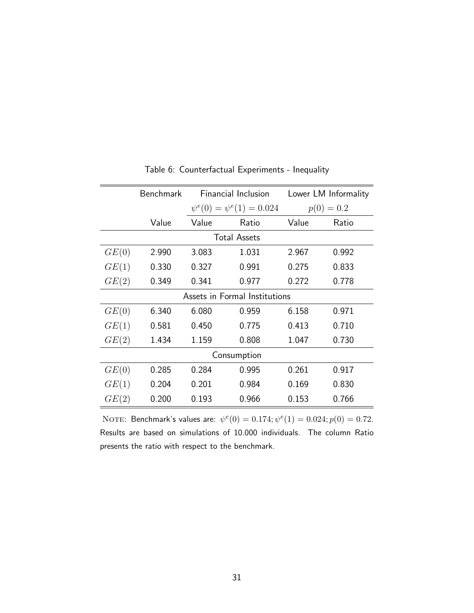<span id="page-30-0"></span>

|                               | <b>Benchmark</b> | <b>Financial Inclusion</b>      |                     | Lower LM Informality |       |  |
|-------------------------------|------------------|---------------------------------|---------------------|----------------------|-------|--|
|                               |                  | $\psi^e(0) = \psi^e(1) = 0.024$ |                     | $p(0) = 0.2$         |       |  |
|                               | Value            | Value                           | Ratio               | Value                | Ratio |  |
|                               |                  |                                 | <b>Total Assets</b> |                      |       |  |
| GE(0)                         | 2.990            | 3.083                           | 1.031               | 2.967                | 0.992 |  |
| GE(1)                         | 0.330            | 0.327                           | 0.991               | 0.275                | 0.833 |  |
| GE(2)                         | 0.349            | 0.341                           | 0.977               | 0.272                | 0.778 |  |
| Assets in Formal Institutions |                  |                                 |                     |                      |       |  |
| GE(0)                         | 6.340            | 6.080                           | 0.959               | 6.158                | 0.971 |  |
| GE(1)                         | 0.581            | 0.450                           | 0.775               | 0.413                | 0.710 |  |
| GE(2)                         | 1.434            | 1.159                           | 0.808               | 1.047                | 0.730 |  |
| Consumption                   |                  |                                 |                     |                      |       |  |
| GE(0)                         | 0.285            | 0.284                           | 0.995               | 0.261                | 0.917 |  |
| GE(1)                         | 0.204            | 0.201                           | 0.984               | 0.169                | 0.830 |  |
| GE(2)                         | 0.200            | 0.193                           | 0.966               | 0.153                | 0.766 |  |

Table 6: Counterfactual Experiments - Inequality

NOTE: Benchmark's values are:  $\psi^e(0) = 0.174; \psi^e(1) = 0.024; p(0) = 0.72$ . Results are based on simulations of 10.000 individuals. The column Ratio presents the ratio with respect to the benchmark.